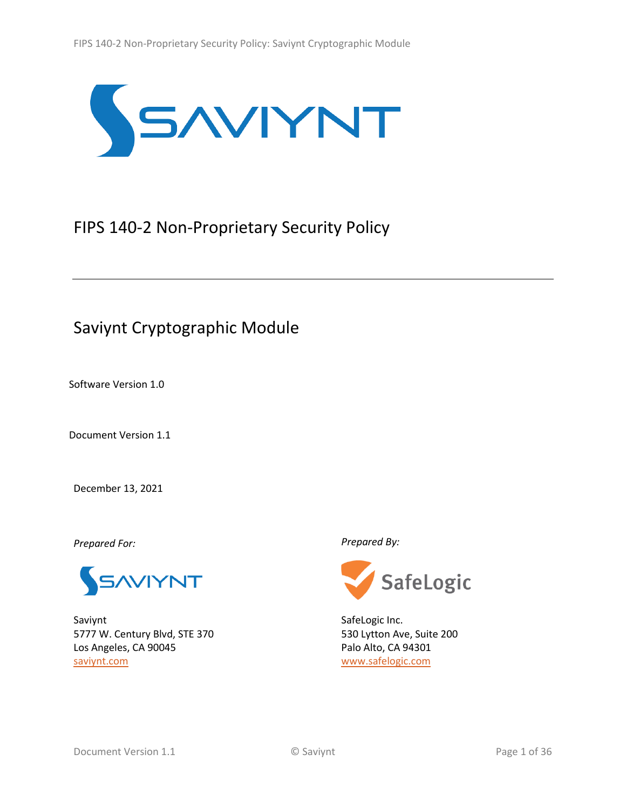

# <span id="page-0-1"></span>FIPS 140-2 Non-Proprietary Security Policy

# Saviynt Cryptographic Module

Software Version 1.0

<span id="page-0-0"></span>Document Version 1.1

December 13, 2021

*Prepared For: Prepared By:*



Saviynt 5777 W. Century Blvd, STE 370 Los Angeles, CA 90045 [saviynt.com](https://saviynt.com/)



SafeLogic Inc. 530 Lytton Ave, Suite 200 Palo Alto, CA 94301 [www.safelogic.com](http://www.safelogic.com/)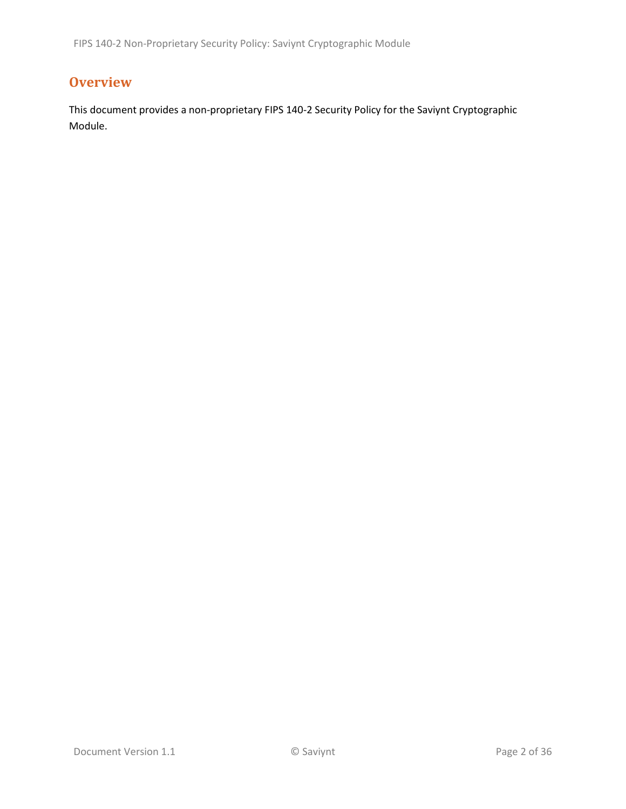## **Overview**

This document provides a non-proprietary FIPS 140-2 Security Policy for the Saviynt Cryptographic Module.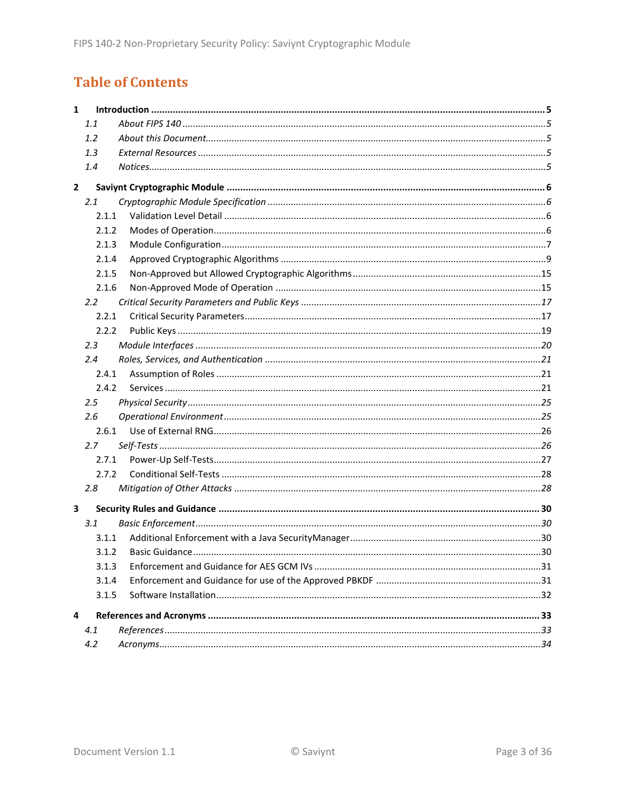# **Table of Contents**

| 1.1<br>1.2<br>1.3<br>1.4<br>$\mathbf{2}$<br>2.1<br>2.1.1<br>2.1.2<br>2.1.3<br>2.1.4<br>2.1.5<br>2.1.6<br>2.2<br>2.2.1<br>2.2.2<br>2.3<br>2.4<br>2.4.1<br>2.4.2<br>2.5<br>2.6<br>2.6.1<br>2.7<br>2.7.1<br>2.7.2<br>2.8<br>3<br>3.1<br>3.1.1<br>3.1.2<br>3.1.3<br>3.1.4<br>3.1.5<br>4<br>4.1<br>4.2 | 1 |  |  |  |  |  |  |  |
|---------------------------------------------------------------------------------------------------------------------------------------------------------------------------------------------------------------------------------------------------------------------------------------------------|---|--|--|--|--|--|--|--|
|                                                                                                                                                                                                                                                                                                   |   |  |  |  |  |  |  |  |
|                                                                                                                                                                                                                                                                                                   |   |  |  |  |  |  |  |  |
|                                                                                                                                                                                                                                                                                                   |   |  |  |  |  |  |  |  |
|                                                                                                                                                                                                                                                                                                   |   |  |  |  |  |  |  |  |
|                                                                                                                                                                                                                                                                                                   |   |  |  |  |  |  |  |  |
|                                                                                                                                                                                                                                                                                                   |   |  |  |  |  |  |  |  |
|                                                                                                                                                                                                                                                                                                   |   |  |  |  |  |  |  |  |
|                                                                                                                                                                                                                                                                                                   |   |  |  |  |  |  |  |  |
|                                                                                                                                                                                                                                                                                                   |   |  |  |  |  |  |  |  |
|                                                                                                                                                                                                                                                                                                   |   |  |  |  |  |  |  |  |
|                                                                                                                                                                                                                                                                                                   |   |  |  |  |  |  |  |  |
|                                                                                                                                                                                                                                                                                                   |   |  |  |  |  |  |  |  |
|                                                                                                                                                                                                                                                                                                   |   |  |  |  |  |  |  |  |
|                                                                                                                                                                                                                                                                                                   |   |  |  |  |  |  |  |  |
|                                                                                                                                                                                                                                                                                                   |   |  |  |  |  |  |  |  |
|                                                                                                                                                                                                                                                                                                   |   |  |  |  |  |  |  |  |
|                                                                                                                                                                                                                                                                                                   |   |  |  |  |  |  |  |  |
|                                                                                                                                                                                                                                                                                                   |   |  |  |  |  |  |  |  |
|                                                                                                                                                                                                                                                                                                   |   |  |  |  |  |  |  |  |
|                                                                                                                                                                                                                                                                                                   |   |  |  |  |  |  |  |  |
|                                                                                                                                                                                                                                                                                                   |   |  |  |  |  |  |  |  |
|                                                                                                                                                                                                                                                                                                   |   |  |  |  |  |  |  |  |
|                                                                                                                                                                                                                                                                                                   |   |  |  |  |  |  |  |  |
|                                                                                                                                                                                                                                                                                                   |   |  |  |  |  |  |  |  |
|                                                                                                                                                                                                                                                                                                   |   |  |  |  |  |  |  |  |
|                                                                                                                                                                                                                                                                                                   |   |  |  |  |  |  |  |  |
|                                                                                                                                                                                                                                                                                                   |   |  |  |  |  |  |  |  |
|                                                                                                                                                                                                                                                                                                   |   |  |  |  |  |  |  |  |
|                                                                                                                                                                                                                                                                                                   |   |  |  |  |  |  |  |  |
|                                                                                                                                                                                                                                                                                                   |   |  |  |  |  |  |  |  |
|                                                                                                                                                                                                                                                                                                   |   |  |  |  |  |  |  |  |
|                                                                                                                                                                                                                                                                                                   |   |  |  |  |  |  |  |  |
|                                                                                                                                                                                                                                                                                                   |   |  |  |  |  |  |  |  |
|                                                                                                                                                                                                                                                                                                   |   |  |  |  |  |  |  |  |
|                                                                                                                                                                                                                                                                                                   |   |  |  |  |  |  |  |  |
|                                                                                                                                                                                                                                                                                                   |   |  |  |  |  |  |  |  |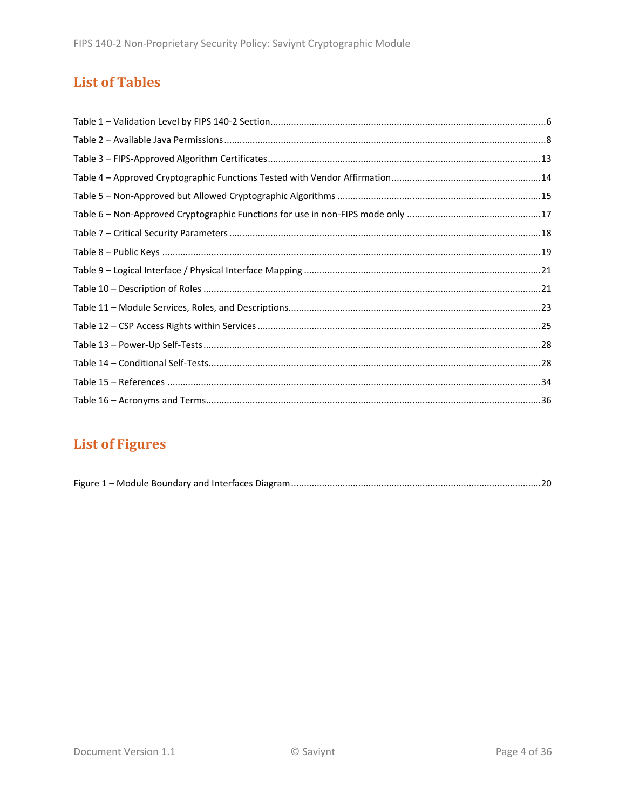## **List of Tables**

# **List of Figures**

|--|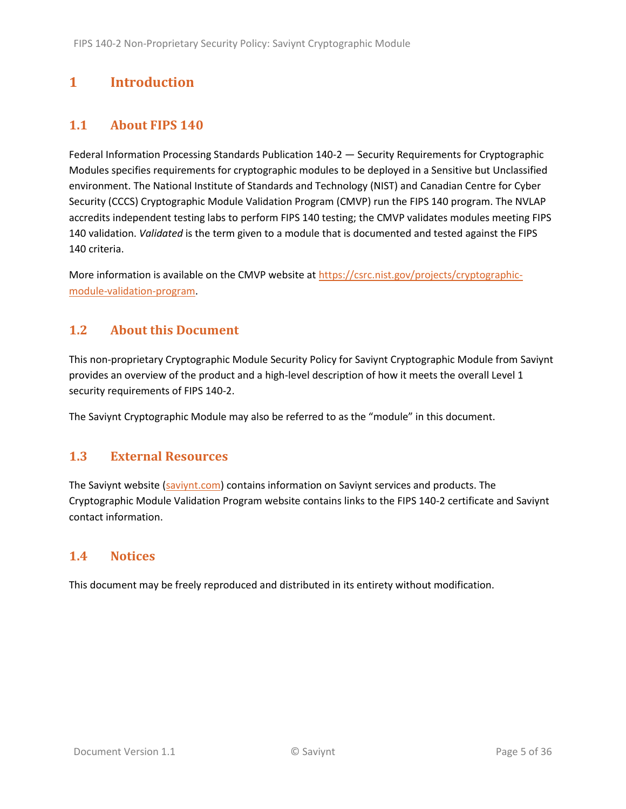## <span id="page-4-0"></span>**1 Introduction**

### <span id="page-4-1"></span>**1.1 About FIPS 140**

Federal Information Processing Standards Publication 140-2 — Security Requirements for Cryptographic Modules specifies requirements for cryptographic modules to be deployed in a Sensitive but Unclassified environment. The National Institute of Standards and Technology (NIST) and Canadian Centre for Cyber Security (CCCS) Cryptographic Module Validation Program (CMVP) run the FIPS 140 program. The NVLAP accredits independent testing labs to perform FIPS 140 testing; the CMVP validates modules meeting FIPS 140 validation. *Validated* is the term given to a module that is documented and tested against the FIPS 140 criteria.

More information is available on the CMVP website a[t https://csrc.nist.gov/projects/cryptographic](https://csrc.nist.gov/projects/cryptographic-module-validation-program)[module-validation-program.](https://csrc.nist.gov/projects/cryptographic-module-validation-program)

### <span id="page-4-2"></span>**1.2 About this Document**

This non-proprietary Cryptographic Module Security Policy for Saviynt Cryptographic Module from Saviynt provides an overview of the product and a high-level description of how it meets the overall Level 1 security requirements of FIPS 140-2.

The Saviynt Cryptographic Module may also be referred to as the "module" in this document.

#### <span id="page-4-3"></span>**1.3 External Resources**

The Saviynt website [\(saviynt.com\)](https://saviynt.com/) contains information on Saviynt services and products. The Cryptographic Module Validation Program website contains links to the FIPS 140-2 certificate and Saviynt contact information.

#### <span id="page-4-4"></span>**1.4 Notices**

This document may be freely reproduced and distributed in its entirety without modification.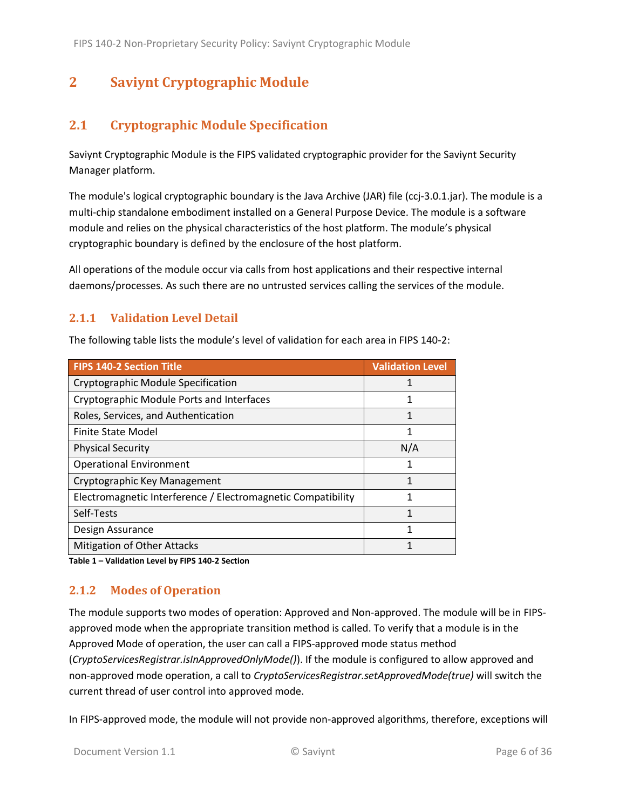## <span id="page-5-0"></span>**2 Saviynt Cryptographic Module**

## <span id="page-5-1"></span>**2.1 Cryptographic Module Specification**

Saviynt Cryptographic Module is the FIPS validated cryptographic provider for the Saviynt Security Manager platform.

The module's logical cryptographic boundary is the Java Archive (JAR) file (ccj-3.0.1.jar). The module is a multi-chip standalone embodiment installed on a General Purpose Device. The module is a software module and relies on the physical characteristics of the host platform. The module's physical cryptographic boundary is defined by the enclosure of the host platform.

All operations of the module occur via calls from host applications and their respective internal daemons/processes. As such there are no untrusted services calling the services of the module.

#### <span id="page-5-2"></span>**2.1.1 Validation Level Detail**

The following table lists the module's level of validation for each area in FIPS 140-2:

| <b>FIPS 140-2 Section Title</b>                              | <b>Validation Level</b> |
|--------------------------------------------------------------|-------------------------|
| Cryptographic Module Specification                           | 1                       |
| Cryptographic Module Ports and Interfaces                    | 1                       |
| Roles, Services, and Authentication                          | 1                       |
| Finite State Model                                           | 1                       |
| <b>Physical Security</b>                                     | N/A                     |
| <b>Operational Environment</b>                               | 1                       |
| Cryptographic Key Management                                 |                         |
| Electromagnetic Interference / Electromagnetic Compatibility |                         |
| Self-Tests                                                   | 1                       |
| Design Assurance                                             | 1                       |
| <b>Mitigation of Other Attacks</b>                           | 1                       |

**Table 1 – Validation Level by FIPS 140-2 Section**

#### <span id="page-5-3"></span>**2.1.2 Modes of Operation**

The module supports two modes of operation: Approved and Non-approved. The module will be in FIPSapproved mode when the appropriate transition method is called. To verify that a module is in the Approved Mode of operation, the user can call a FIPS-approved mode status method (*CryptoServicesRegistrar.isInApprovedOnlyMode()*). If the module is configured to allow approved and non-approved mode operation, a call to *CryptoServicesRegistrar.setApprovedMode(true)* will switch the current thread of user control into approved mode.

In FIPS-approved mode, the module will not provide non-approved algorithms, therefore, exceptions will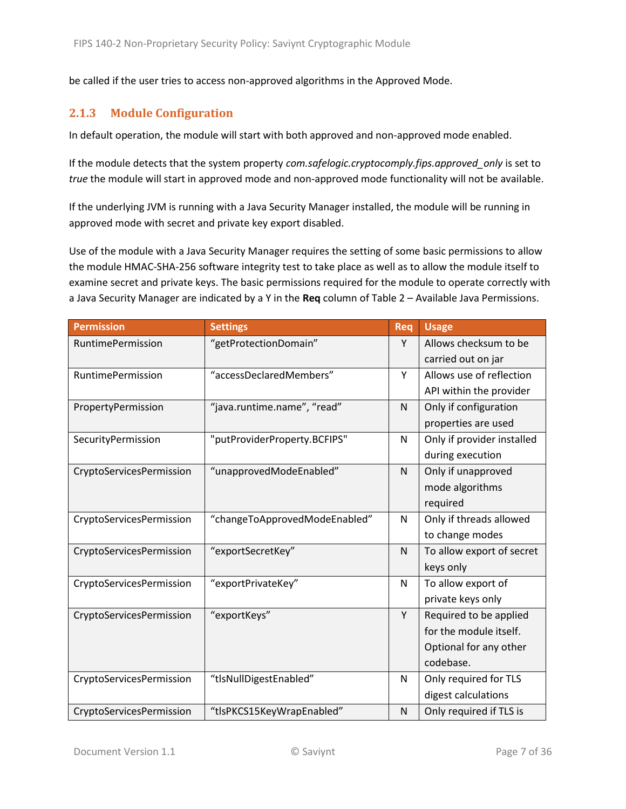be called if the user tries to access non-approved algorithms in the Approved Mode.

#### <span id="page-6-0"></span>**2.1.3 Module Configuration**

In default operation, the module will start with both approved and non-approved mode enabled.

If the module detects that the system property *com.safelogic.cryptocomply.fips.approved\_only* is set to *true* the module will start in approved mode and non-approved mode functionality will not be available.

If the underlying JVM is running with a Java Security Manager installed, the module will be running in approved mode with secret and private key export disabled.

Use of the module with a Java Security Manager requires the setting of some basic permissions to allow the module HMAC-SHA-256 software integrity test to take place as well as to allow the module itself to examine secret and private keys. The basic permissions required for the module to operate correctly with a Java Security Manager are indicated by a Y in the **Req** column of Table 2 – [Available Java Permissions.](#page-7-0)

| <b>Permission</b>        | <b>Settings</b>               | Req          | <b>Usage</b>               |
|--------------------------|-------------------------------|--------------|----------------------------|
| RuntimePermission        | "getProtectionDomain"         | Y            | Allows checksum to be      |
|                          |                               |              | carried out on jar         |
| RuntimePermission        | "accessDeclaredMembers"       | Y            | Allows use of reflection   |
|                          |                               |              | API within the provider    |
| PropertyPermission       | "java.runtime.name", "read"   | $\mathsf{N}$ | Only if configuration      |
|                          |                               |              | properties are used        |
| SecurityPermission       | "putProviderProperty.BCFIPS"  | N            | Only if provider installed |
|                          |                               |              | during execution           |
| CryptoServicesPermission | "unapprovedModeEnabled"       | N            | Only if unapproved         |
|                          |                               |              | mode algorithms            |
|                          |                               |              | required                   |
| CryptoServicesPermission | "changeToApprovedModeEnabled" | N            | Only if threads allowed    |
|                          |                               |              | to change modes            |
| CryptoServicesPermission | "exportSecretKey"             | N            | To allow export of secret  |
|                          |                               |              | keys only                  |
| CryptoServicesPermission | "exportPrivateKey"            | N            | To allow export of         |
|                          |                               |              | private keys only          |
| CryptoServicesPermission | "exportKeys"                  | Y            | Required to be applied     |
|                          |                               |              | for the module itself.     |
|                          |                               |              | Optional for any other     |
|                          |                               |              | codebase.                  |
| CryptoServicesPermission | "tlsNullDigestEnabled"        | N            | Only required for TLS      |
|                          |                               |              | digest calculations        |
| CryptoServicesPermission | "tlsPKCS15KeyWrapEnabled"     | N            | Only required if TLS is    |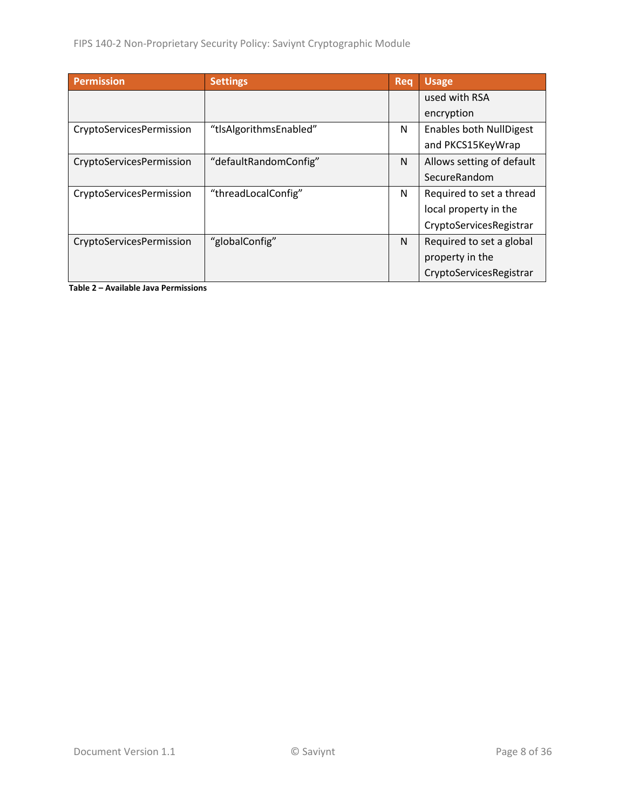| <b>Permission</b>        | <b>Settings</b>        | Rea | <b>Usage</b>                   |
|--------------------------|------------------------|-----|--------------------------------|
|                          |                        |     | used with RSA                  |
|                          |                        |     | encryption                     |
| CryptoServicesPermission | "tlsAlgorithmsEnabled" | N   | <b>Enables both NullDigest</b> |
|                          |                        |     | and PKCS15KeyWrap              |
| CryptoServicesPermission | "defaultRandomConfig"  | N   | Allows setting of default      |
|                          |                        |     | SecureRandom                   |
| CryptoServicesPermission | "threadLocalConfig"    | N   | Required to set a thread       |
|                          |                        |     | local property in the          |
|                          |                        |     | CryptoServicesRegistrar        |
| CryptoServicesPermission | "globalConfig"         | N   | Required to set a global       |
|                          |                        |     | property in the                |
|                          |                        |     | CryptoServicesRegistrar        |

<span id="page-7-0"></span>**Table 2 – Available Java Permissions**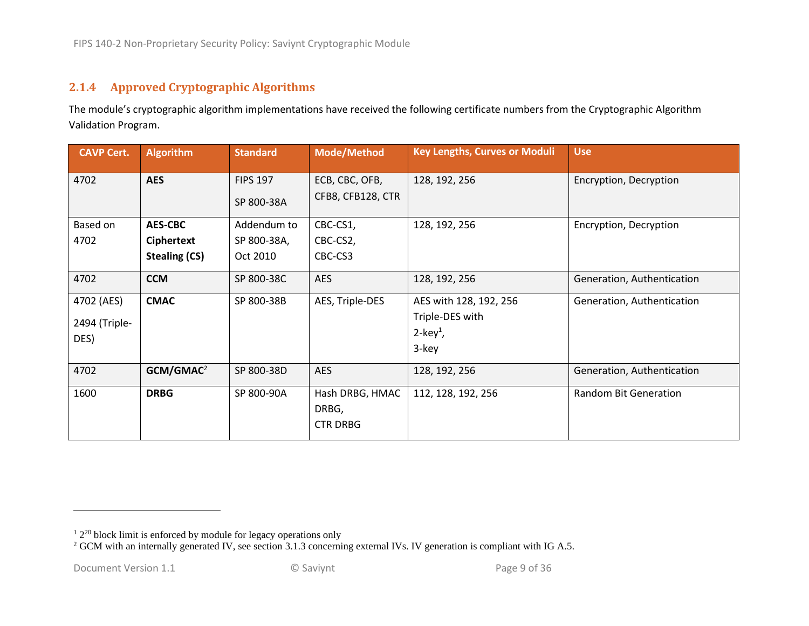#### **2.1.4 Approved Cryptographic Algorithms**

The module's cryptographic algorithm implementations have received the following certificate numbers from the Cryptographic Algorithm Validation Program.

<span id="page-8-0"></span>

| <b>CAVP Cert.</b> | <b>Algorithm</b>      | <b>Standard</b> | <b>Mode/Method</b> | <b>Key Lengths, Curves or Moduli</b> | <b>Use</b>                 |
|-------------------|-----------------------|-----------------|--------------------|--------------------------------------|----------------------------|
| 4702              | <b>AES</b>            | <b>FIPS 197</b> | ECB, CBC, OFB,     | 128, 192, 256                        | Encryption, Decryption     |
|                   |                       | SP 800-38A      | CFB8, CFB128, CTR  |                                      |                            |
| Based on          | <b>AES-CBC</b>        | Addendum to     | CBC-CS1,           | 128, 192, 256                        | Encryption, Decryption     |
| 4702              | Ciphertext            | SP 800-38A,     | CBC-CS2,           |                                      |                            |
|                   | <b>Stealing (CS)</b>  | Oct 2010        | CBC-CS3            |                                      |                            |
| 4702              | <b>CCM</b>            | SP 800-38C      | AES                | 128, 192, 256                        | Generation, Authentication |
| 4702 (AES)        | <b>CMAC</b>           | SP 800-38B      | AES, Triple-DES    | AES with 128, 192, 256               | Generation, Authentication |
| 2494 (Triple-     |                       |                 |                    | Triple-DES with                      |                            |
| DES)              |                       |                 |                    | $2$ -key <sup>1</sup> ,              |                            |
|                   |                       |                 |                    | 3-key                                |                            |
| 4702              | GCM/GMAC <sup>2</sup> | SP 800-38D      | <b>AES</b>         | 128, 192, 256                        | Generation, Authentication |
| 1600              | <b>DRBG</b>           | SP 800-90A      | Hash DRBG, HMAC    | 112, 128, 192, 256                   | Random Bit Generation      |
|                   |                       |                 | DRBG,              |                                      |                            |
|                   |                       |                 | <b>CTR DRBG</b>    |                                      |                            |

 $12^{20}$  block limit is enforced by module for legacy operations only

 $2$  GCM with an internally generated IV, see section 3.1.3 concerning external IVs. IV generation is compliant with IG A.5.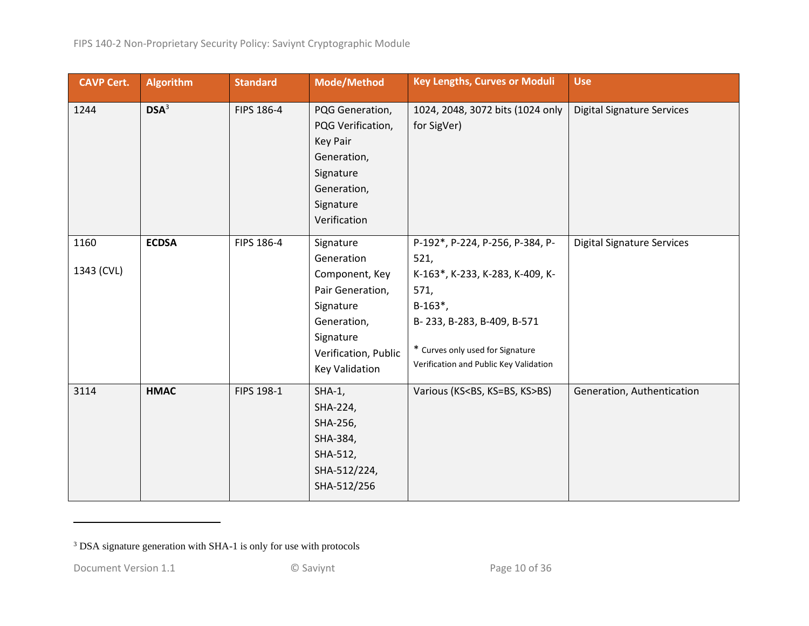| <b>CAVP Cert.</b>  | <b>Algorithm</b> | <b>Standard</b> | <b>Mode/Method</b>                                                                                                                                      | <b>Key Lengths, Curves or Moduli</b>                                                                                                                                                                          | <b>Use</b>                        |
|--------------------|------------------|-----------------|---------------------------------------------------------------------------------------------------------------------------------------------------------|---------------------------------------------------------------------------------------------------------------------------------------------------------------------------------------------------------------|-----------------------------------|
| 1244               | DSA <sup>3</sup> | FIPS 186-4      | PQG Generation,<br>PQG Verification,<br><b>Key Pair</b><br>Generation,<br>Signature<br>Generation,<br>Signature<br>Verification                         | 1024, 2048, 3072 bits (1024 only<br>for SigVer)                                                                                                                                                               | <b>Digital Signature Services</b> |
| 1160<br>1343 (CVL) | <b>ECDSA</b>     | FIPS 186-4      | Signature<br>Generation<br>Component, Key<br>Pair Generation,<br>Signature<br>Generation,<br>Signature<br>Verification, Public<br><b>Key Validation</b> | P-192*, P-224, P-256, P-384, P-<br>521,<br>K-163*, K-233, K-283, K-409, K-<br>571,<br>$B-163^*$ ,<br>B-233, B-283, B-409, B-571<br>* Curves only used for Signature<br>Verification and Public Key Validation | <b>Digital Signature Services</b> |
| 3114               | <b>HMAC</b>      | FIPS 198-1      | $SHA-1$ ,<br>SHA-224,<br>SHA-256,<br>SHA-384,<br>SHA-512,<br>SHA-512/224,<br>SHA-512/256                                                                | Various (KS <bs, ks="">BS)</bs,>                                                                                                                                                                              | Generation, Authentication        |

<sup>3</sup> DSA signature generation with SHA-1 is only for use with protocols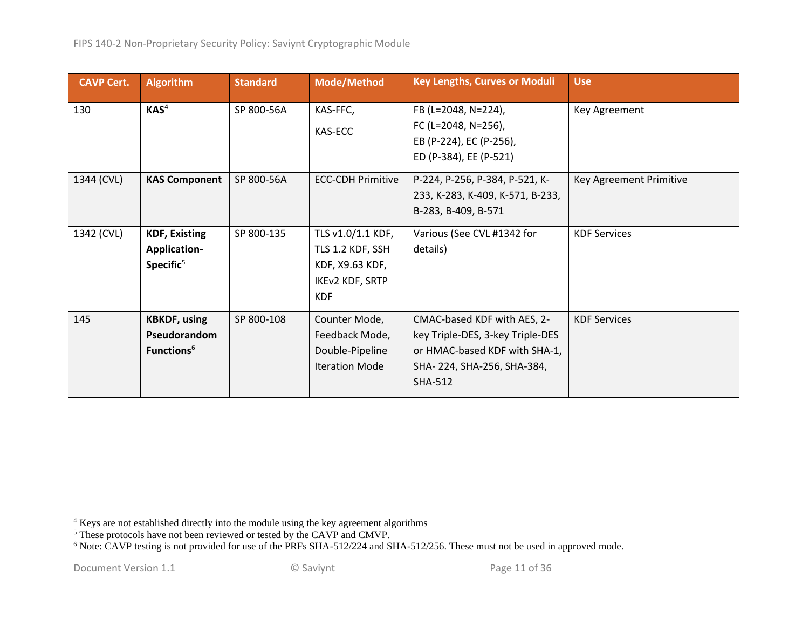| <b>CAVP Cert.</b> | <b>Algorithm</b>                                                     | <b>Standard</b> | <b>Mode/Method</b>                                                                        | <b>Key Lengths, Curves or Moduli</b>                                                                                                      | <b>Use</b>              |
|-------------------|----------------------------------------------------------------------|-----------------|-------------------------------------------------------------------------------------------|-------------------------------------------------------------------------------------------------------------------------------------------|-------------------------|
| 130               | KAS <sup>4</sup>                                                     | SP 800-56A      | KAS-FFC,<br>KAS-ECC                                                                       | FB (L=2048, N=224),<br>FC (L=2048, N=256),<br>EB (P-224), EC (P-256),<br>ED (P-384), EE (P-521)                                           | Key Agreement           |
| 1344 (CVL)        | <b>KAS Component</b>                                                 | SP 800-56A      | <b>ECC-CDH Primitive</b>                                                                  | P-224, P-256, P-384, P-521, K-<br>233, K-283, K-409, K-571, B-233,<br>B-283, B-409, B-571                                                 | Key Agreement Primitive |
| 1342 (CVL)        | <b>KDF, Existing</b><br><b>Application-</b><br>Specific <sup>5</sup> | SP 800-135      | TLS v1.0/1.1 KDF,<br>TLS 1.2 KDF, SSH<br>KDF, X9.63 KDF,<br>IKEv2 KDF, SRTP<br><b>KDF</b> | Various (See CVL #1342 for<br>details)                                                                                                    | <b>KDF Services</b>     |
| 145               | <b>KBKDF, using</b><br>Pseudorandom<br>Functions <sup>6</sup>        | SP 800-108      | Counter Mode,<br>Feedback Mode,<br>Double-Pipeline<br><b>Iteration Mode</b>               | CMAC-based KDF with AES, 2-<br>key Triple-DES, 3-key Triple-DES<br>or HMAC-based KDF with SHA-1,<br>SHA-224, SHA-256, SHA-384,<br>SHA-512 | <b>KDF Services</b>     |

<sup>&</sup>lt;sup>4</sup> Keys are not established directly into the module using the key agreement algorithms

<sup>&</sup>lt;sup>5</sup> These protocols have not been reviewed or tested by the CAVP and CMVP.

<sup>&</sup>lt;sup>6</sup> Note: CAVP testing is not provided for use of the PRFs SHA-512/224 and SHA-512/256. These must not be used in approved mode.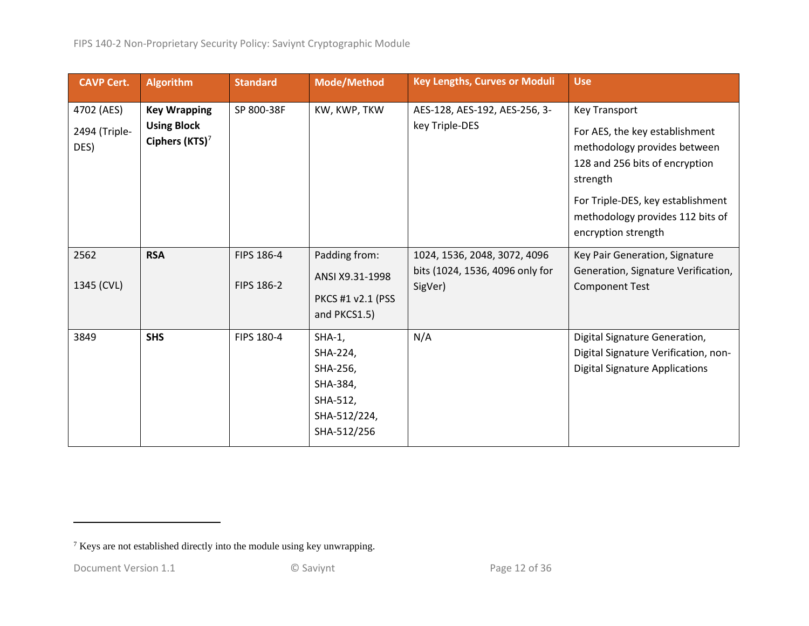| <b>CAVP Cert.</b>                   | <b>Algorithm</b>                                                        | <b>Standard</b>          | Mode/Method                                                                              | <b>Key Lengths, Curves or Moduli</b>                                       | <b>Use</b>                                                                                                                                                                                                                           |
|-------------------------------------|-------------------------------------------------------------------------|--------------------------|------------------------------------------------------------------------------------------|----------------------------------------------------------------------------|--------------------------------------------------------------------------------------------------------------------------------------------------------------------------------------------------------------------------------------|
| 4702 (AES)<br>2494 (Triple-<br>DES) | <b>Key Wrapping</b><br><b>Using Block</b><br>Ciphers (KTS) <sup>7</sup> | SP 800-38F               | KW, KWP, TKW                                                                             | AES-128, AES-192, AES-256, 3-<br>key Triple-DES                            | <b>Key Transport</b><br>For AES, the key establishment<br>methodology provides between<br>128 and 256 bits of encryption<br>strength<br>For Triple-DES, key establishment<br>methodology provides 112 bits of<br>encryption strength |
| 2562<br>1345 (CVL)                  | <b>RSA</b>                                                              | FIPS 186-4<br>FIPS 186-2 | Padding from:<br>ANSI X9.31-1998<br>PKCS #1 v2.1 (PSS<br>and PKCS1.5)                    | 1024, 1536, 2048, 3072, 4096<br>bits (1024, 1536, 4096 only for<br>SigVer) | Key Pair Generation, Signature<br>Generation, Signature Verification,<br><b>Component Test</b>                                                                                                                                       |
| 3849                                | <b>SHS</b>                                                              | FIPS 180-4               | $SHA-1$ ,<br>SHA-224,<br>SHA-256,<br>SHA-384,<br>SHA-512,<br>SHA-512/224,<br>SHA-512/256 | N/A                                                                        | Digital Signature Generation,<br>Digital Signature Verification, non-<br><b>Digital Signature Applications</b>                                                                                                                       |

<sup>7</sup> Keys are not established directly into the module using key unwrapping.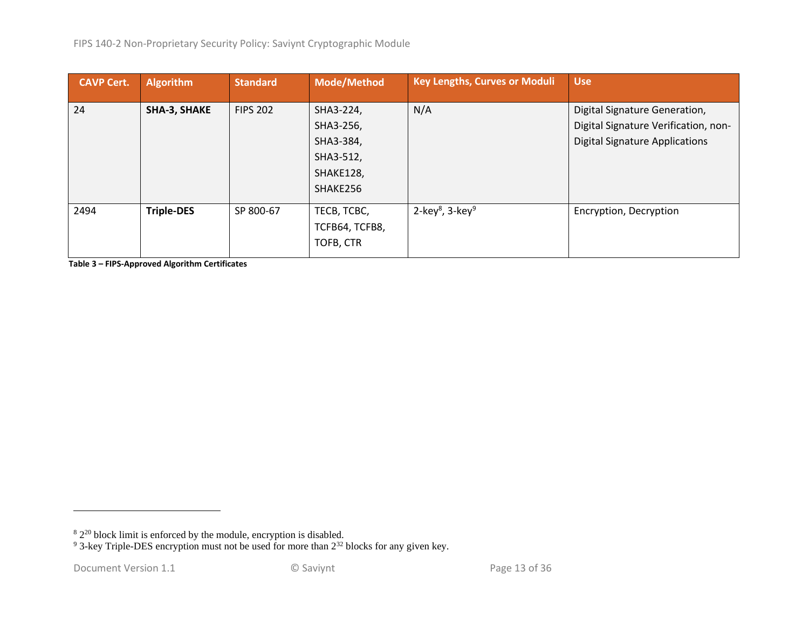| <b>CAVP Cert.</b> | <b>Algorithm</b>    | <b>Standard</b> | Mode/Method    | <b>Key Lengths, Curves or Moduli</b>    | <b>Use</b>                            |
|-------------------|---------------------|-----------------|----------------|-----------------------------------------|---------------------------------------|
| 24                | <b>SHA-3, SHAKE</b> | <b>FIPS 202</b> | SHA3-224,      | N/A                                     | Digital Signature Generation,         |
|                   |                     |                 | SHA3-256,      |                                         | Digital Signature Verification, non-  |
|                   |                     |                 | SHA3-384,      |                                         | <b>Digital Signature Applications</b> |
|                   |                     |                 | SHA3-512,      |                                         |                                       |
|                   |                     |                 | SHAKE128,      |                                         |                                       |
|                   |                     |                 | SHAKE256       |                                         |                                       |
| 2494              | <b>Triple-DES</b>   | SP 800-67       | TECB, TCBC,    | 2-key <sup>8</sup> , 3-key <sup>9</sup> | Encryption, Decryption                |
|                   |                     |                 | TCFB64, TCFB8, |                                         |                                       |
|                   |                     |                 | TOFB, CTR      |                                         |                                       |

**Table 3 – FIPS-Approved Algorithm Certificates**

 $82^{20}$  block limit is enforced by the module, encryption is disabled.

 $9^9$  3-key Triple-DES encryption must not be used for more than  $2^{32}$  blocks for any given key.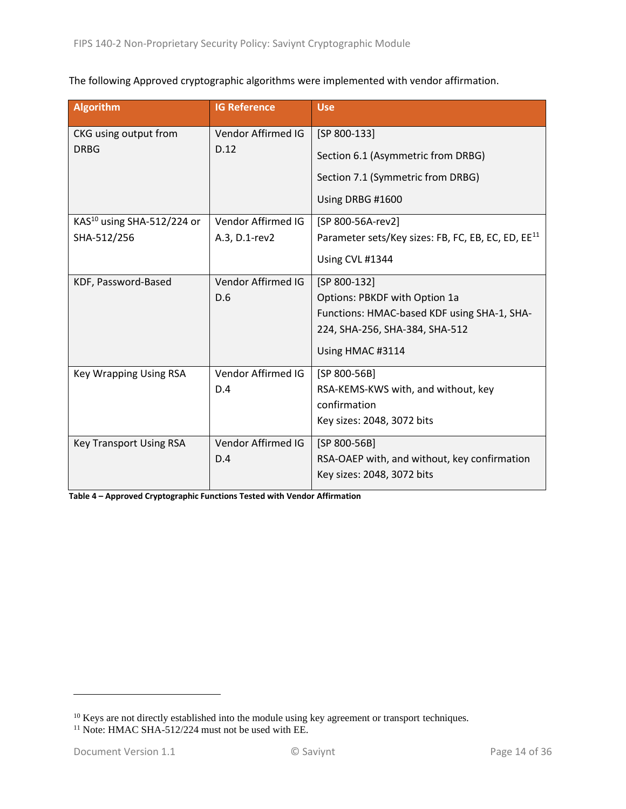The following Approved cryptographic algorithms were implemented with vendor affirmation.

| <b>Algorithm</b>                       | <b>IG Reference</b> | <b>Use</b>                                                     |
|----------------------------------------|---------------------|----------------------------------------------------------------|
| CKG using output from                  | Vendor Affirmed IG  | $[SP 800-133]$                                                 |
| <b>DRBG</b>                            | D.12                | Section 6.1 (Asymmetric from DRBG)                             |
|                                        |                     | Section 7.1 (Symmetric from DRBG)                              |
|                                        |                     | Using DRBG #1600                                               |
| KAS <sup>10</sup> using SHA-512/224 or | Vendor Affirmed IG  | [SP 800-56A-rev2]                                              |
| SHA-512/256                            | A.3, D.1-rev2       | Parameter sets/Key sizes: FB, FC, EB, EC, ED, EE <sup>11</sup> |
|                                        |                     | Using CVL #1344                                                |
| KDF, Password-Based                    | Vendor Affirmed IG  | [SP 800-132]                                                   |
|                                        | D.6                 | Options: PBKDF with Option 1a                                  |
|                                        |                     | Functions: HMAC-based KDF using SHA-1, SHA-                    |
|                                        |                     | 224, SHA-256, SHA-384, SHA-512                                 |
|                                        |                     | Using HMAC #3114                                               |
| <b>Key Wrapping Using RSA</b>          | Vendor Affirmed IG  | $[SP 800-56B]$                                                 |
|                                        | D.4                 | RSA-KEMS-KWS with, and without, key                            |
|                                        |                     | confirmation                                                   |
|                                        |                     | Key sizes: 2048, 3072 bits                                     |
| <b>Key Transport Using RSA</b>         | Vendor Affirmed IG  | [SP 800-56B]                                                   |
|                                        | D.4                 | RSA-OAEP with, and without, key confirmation                   |
|                                        |                     | Key sizes: 2048, 3072 bits                                     |

**Table 4 – Approved Cryptographic Functions Tested with Vendor Affirmation**

<sup>&</sup>lt;sup>10</sup> Keys are not directly established into the module using key agreement or transport techniques.

<sup>&</sup>lt;sup>11</sup> Note: HMAC SHA-512/224 must not be used with EE.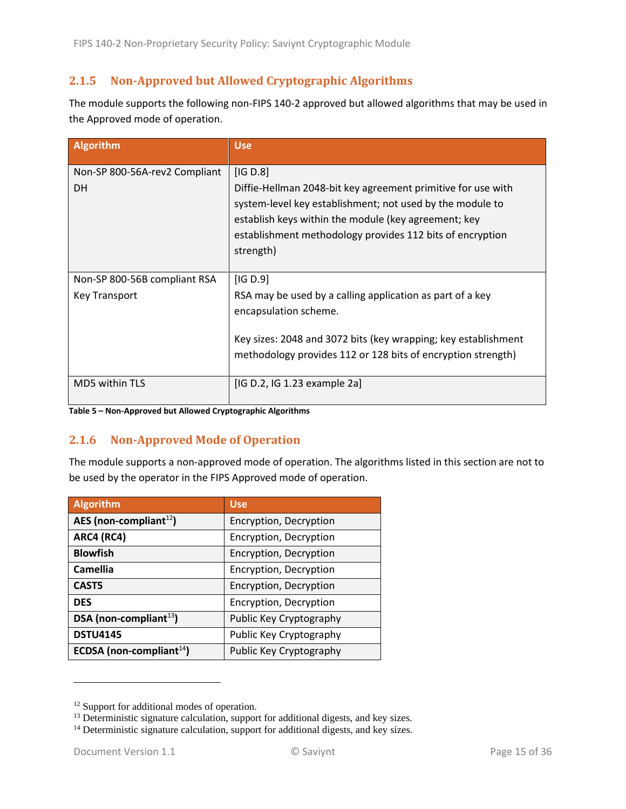#### <span id="page-14-0"></span>**2.1.5 Non-Approved but Allowed Cryptographic Algorithms**

The module supports the following non-FIPS 140-2 approved but allowed algorithms that may be used in the Approved mode of operation.

| Algorithm                                            | <b>Use</b>                                                                                                                                                                                                                                                              |
|------------------------------------------------------|-------------------------------------------------------------------------------------------------------------------------------------------------------------------------------------------------------------------------------------------------------------------------|
| Non-SP 800-56A-rev2 Compliant<br><b>DH</b>           | [IG D.8]<br>Diffie-Hellman 2048-bit key agreement primitive for use with<br>system-level key establishment; not used by the module to<br>establish keys within the module (key agreement; key<br>establishment methodology provides 112 bits of encryption<br>strength) |
| Non-SP 800-56B compliant RSA<br><b>Key Transport</b> | [IG D.9]<br>RSA may be used by a calling application as part of a key<br>encapsulation scheme.<br>Key sizes: 2048 and 3072 bits (key wrapping; key establishment<br>methodology provides 112 or 128 bits of encryption strength)                                        |
| <b>MD5 within TLS</b>                                | [IG D.2, IG 1.23 example 2a]                                                                                                                                                                                                                                            |

**Table 5 – Non-Approved but Allowed Cryptographic Algorithms**

#### <span id="page-14-1"></span>**2.1.6 Non-Approved Mode of Operation**

The module supports a non-approved mode of operation. The algorithms listed in this section are not to be used by the operator in the FIPS Approved mode of operation.

| <b>Algorithm</b>             | <b>Use</b>              |
|------------------------------|-------------------------|
| AES (non-compliant $^{12}$ ) | Encryption, Decryption  |
| <b>ARC4 (RC4)</b>            | Encryption, Decryption  |
| <b>Blowfish</b>              | Encryption, Decryption  |
| <b>Camellia</b>              | Encryption, Decryption  |
| CAST <sub>5</sub>            | Encryption, Decryption  |
| <b>DES</b>                   | Encryption, Decryption  |
| DSA (non-compliant $^{13}$ ) | Public Key Cryptography |
| <b>DSTU4145</b>              | Public Key Cryptography |
| ECDSA (non-compliant $14$ )  | Public Key Cryptography |

<sup>&</sup>lt;sup>12</sup> Support for additional modes of operation.

 $13$  Deterministic signature calculation, support for additional digests, and key sizes.

<sup>&</sup>lt;sup>14</sup> Deterministic signature calculation, support for additional digests, and key sizes.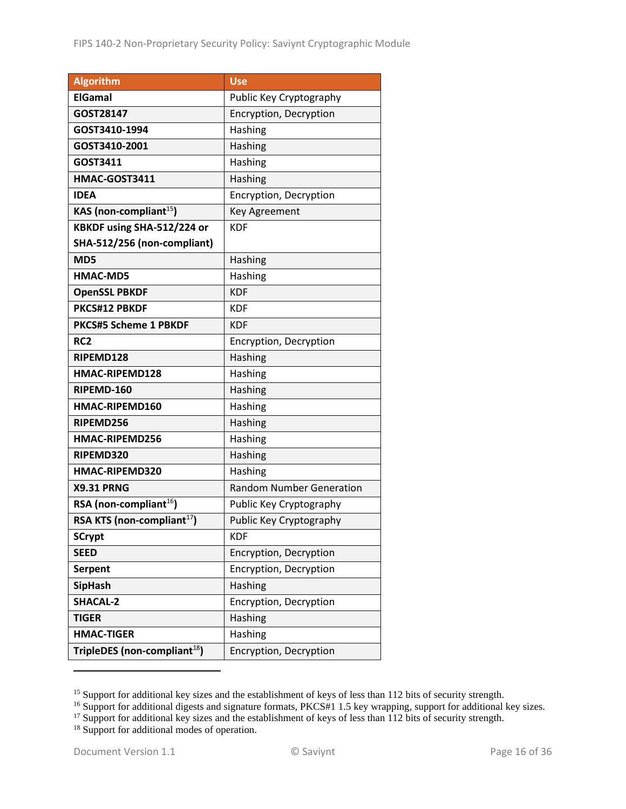| <b>Algorithm</b>                         | <b>Use</b>                      |
|------------------------------------------|---------------------------------|
| <b>ElGamal</b>                           | Public Key Cryptography         |
| GOST28147                                | Encryption, Decryption          |
| GOST3410-1994                            | Hashing                         |
| GOST3410-2001                            | Hashing                         |
| GOST3411                                 | Hashing                         |
| HMAC-GOST3411                            | Hashing                         |
| IDEA                                     | Encryption, Decryption          |
| KAS (non-compliant <sup>15</sup> )       | <b>Key Agreement</b>            |
| KBKDF using SHA-512/224 or               | <b>KDF</b>                      |
| SHA-512/256 (non-compliant)              |                                 |
| MD5                                      | Hashing                         |
| <b>HMAC-MD5</b>                          | Hashing                         |
| <b>OpenSSL PBKDF</b>                     | <b>KDF</b>                      |
| PKCS#12 PBKDF                            | <b>KDF</b>                      |
| <b>PKCS#5 Scheme 1 PBKDF</b>             | <b>KDF</b>                      |
| RC <sub>2</sub>                          | Encryption, Decryption          |
| RIPEMD128                                | Hashing                         |
| HMAC-RIPEMD128                           | Hashing                         |
| RIPEMD-160                               | Hashing                         |
| HMAC-RIPEMD160                           | Hashing                         |
| RIPEMD256                                | Hashing                         |
| HMAC-RIPEMD256                           | Hashing                         |
| RIPEMD320                                | Hashing                         |
| HMAC-RIPEMD320                           | Hashing                         |
| <b>X9.31 PRNG</b>                        | <b>Random Number Generation</b> |
| RSA (non-compliant <sup>16</sup> )       | Public Key Cryptography         |
| RSA KTS (non-compliant <sup>17</sup> )   | Public Key Cryptography         |
| <b>SCrypt</b>                            | <b>KDF</b>                      |
| <b>SEED</b>                              | Encryption, Decryption          |
| <b>Serpent</b>                           | Encryption, Decryption          |
| <b>SipHash</b>                           | Hashing                         |
| <b>SHACAL-2</b>                          | Encryption, Decryption          |
| <b>TIGER</b>                             | Hashing                         |
| <b>HMAC-TIGER</b>                        | Hashing                         |
| TripleDES (non-compliant <sup>18</sup> ) | Encryption, Decryption          |

<sup>&</sup>lt;sup>15</sup> Support for additional key sizes and the establishment of keys of less than 112 bits of security strength.

<sup>&</sup>lt;sup>16</sup> Support for additional digests and signature formats, PKCS#1 1.5 key wrapping, support for additional key sizes.

 $17$  Support for additional key sizes and the establishment of keys of less than 112 bits of security strength.

<sup>&</sup>lt;sup>18</sup> Support for additional modes of operation.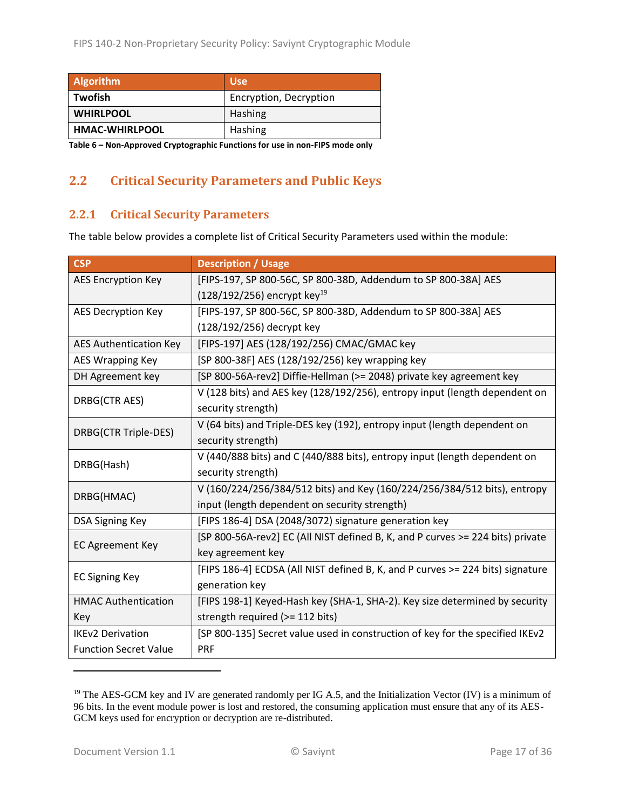| <b>Algorithm</b>                                                              | <b>Use</b>             |  |
|-------------------------------------------------------------------------------|------------------------|--|
| Twofish                                                                       | Encryption, Decryption |  |
| <b>WHIRLPOOL</b>                                                              | Hashing                |  |
| <b>HMAC-WHIRLPOOL</b>                                                         | Hashing                |  |
| Table C., New Amproved Counterpolity Functions for use in new FIDC mode apply |                        |  |

**Table 6 – Non-Approved Cryptographic Functions for use in non-FIPS mode only**

## <span id="page-16-0"></span>**2.2 Critical Security Parameters and Public Keys**

#### <span id="page-16-1"></span>**2.2.1 Critical Security Parameters**

The table below provides a complete list of Critical Security Parameters used within the module:

| <b>CSP</b>                    | <b>Description / Usage</b>                                                     |
|-------------------------------|--------------------------------------------------------------------------------|
| <b>AES Encryption Key</b>     | [FIPS-197, SP 800-56C, SP 800-38D, Addendum to SP 800-38A] AES                 |
|                               | $(128/192/256)$ encrypt key <sup>19</sup>                                      |
| AES Decryption Key            | [FIPS-197, SP 800-56C, SP 800-38D, Addendum to SP 800-38A] AES                 |
|                               | (128/192/256) decrypt key                                                      |
| <b>AES Authentication Key</b> | [FIPS-197] AES (128/192/256) CMAC/GMAC key                                     |
| AES Wrapping Key              | [SP 800-38F] AES (128/192/256) key wrapping key                                |
| DH Agreement key              | [SP 800-56A-rev2] Diffie-Hellman (>= 2048) private key agreement key           |
| DRBG(CTR AES)                 | V (128 bits) and AES key (128/192/256), entropy input (length dependent on     |
|                               | security strength)                                                             |
| DRBG(CTR Triple-DES)          | V (64 bits) and Triple-DES key (192), entropy input (length dependent on       |
|                               | security strength)                                                             |
| DRBG(Hash)                    | V (440/888 bits) and C (440/888 bits), entropy input (length dependent on      |
|                               | security strength)                                                             |
| DRBG(HMAC)                    | V (160/224/256/384/512 bits) and Key (160/224/256/384/512 bits), entropy       |
|                               | input (length dependent on security strength)                                  |
| <b>DSA Signing Key</b>        | [FIPS 186-4] DSA (2048/3072) signature generation key                          |
| <b>EC Agreement Key</b>       | [SP 800-56A-rev2] EC (All NIST defined B, K, and P curves >= 224 bits) private |
|                               | key agreement key                                                              |
| <b>EC Signing Key</b>         | [FIPS 186-4] ECDSA (All NIST defined B, K, and P curves >= 224 bits) signature |
|                               | generation key                                                                 |
| <b>HMAC Authentication</b>    | [FIPS 198-1] Keyed-Hash key (SHA-1, SHA-2). Key size determined by security    |
| Key                           | strength required (>= 112 bits)                                                |
| <b>IKEv2 Derivation</b>       | [SP 800-135] Secret value used in construction of key for the specified IKEv2  |
| <b>Function Secret Value</b>  | <b>PRF</b>                                                                     |

<sup>&</sup>lt;sup>19</sup> The AES-GCM key and IV are generated randomly per IG A.5, and the Initialization Vector (IV) is a minimum of 96 bits. In the event module power is lost and restored, the consuming application must ensure that any of its AES-GCM keys used for encryption or decryption are re-distributed.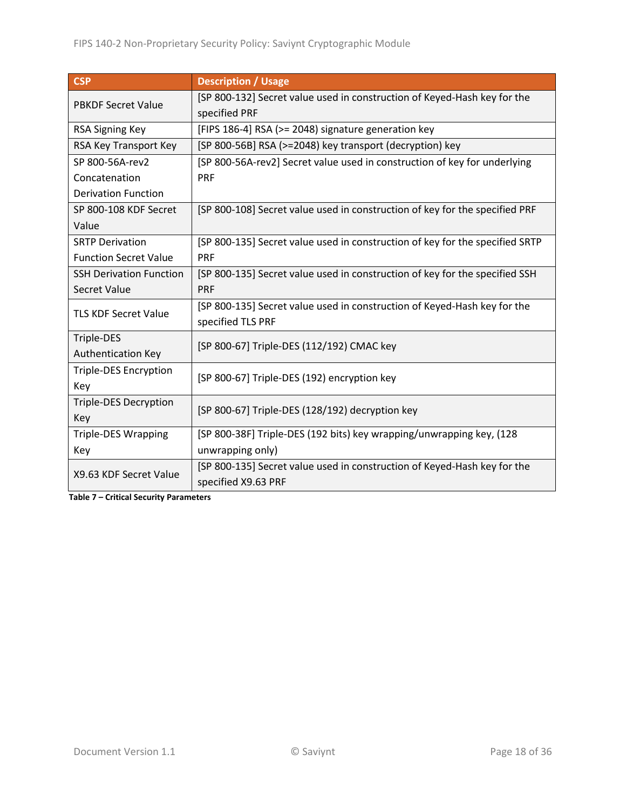| <b>CSP</b>                     | <b>Description / Usage</b>                                                   |  |
|--------------------------------|------------------------------------------------------------------------------|--|
| <b>PBKDF Secret Value</b>      | [SP 800-132] Secret value used in construction of Keyed-Hash key for the     |  |
|                                | specified PRF                                                                |  |
| <b>RSA Signing Key</b>         | [FIPS 186-4] RSA (>= 2048) signature generation key                          |  |
| RSA Key Transport Key          | [SP 800-56B] RSA (>=2048) key transport (decryption) key                     |  |
| SP 800-56A-rev2                | [SP 800-56A-rev2] Secret value used in construction of key for underlying    |  |
| Concatenation                  | <b>PRF</b>                                                                   |  |
| <b>Derivation Function</b>     |                                                                              |  |
| SP 800-108 KDF Secret          | [SP 800-108] Secret value used in construction of key for the specified PRF  |  |
| Value                          |                                                                              |  |
| <b>SRTP Derivation</b>         | [SP 800-135] Secret value used in construction of key for the specified SRTP |  |
| <b>Function Secret Value</b>   | <b>PRF</b>                                                                   |  |
| <b>SSH Derivation Function</b> | [SP 800-135] Secret value used in construction of key for the specified SSH  |  |
| Secret Value                   | <b>PRF</b>                                                                   |  |
| <b>TLS KDF Secret Value</b>    | [SP 800-135] Secret value used in construction of Keyed-Hash key for the     |  |
|                                | specified TLS PRF                                                            |  |
| Triple-DES                     | [SP 800-67] Triple-DES (112/192) CMAC key                                    |  |
| Authentication Key             |                                                                              |  |
| <b>Triple-DES Encryption</b>   | [SP 800-67] Triple-DES (192) encryption key                                  |  |
| Key                            |                                                                              |  |
| <b>Triple-DES Decryption</b>   | [SP 800-67] Triple-DES (128/192) decryption key                              |  |
| Key                            |                                                                              |  |
| <b>Triple-DES Wrapping</b>     | [SP 800-38F] Triple-DES (192 bits) key wrapping/unwrapping key, (128         |  |
| Key                            | unwrapping only)                                                             |  |
| X9.63 KDF Secret Value         | [SP 800-135] Secret value used in construction of Keyed-Hash key for the     |  |
|                                | specified X9.63 PRF                                                          |  |

**Table 7 – Critical Security Parameters**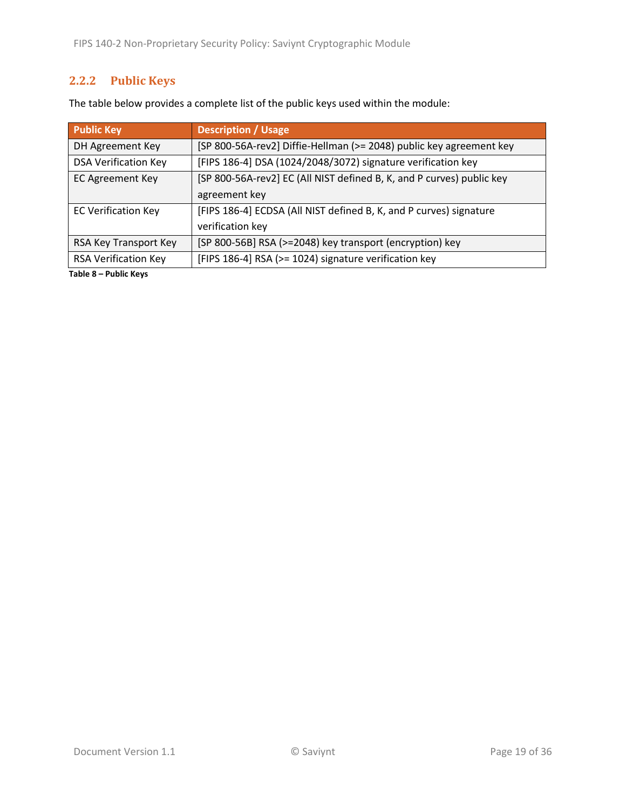## <span id="page-18-0"></span>**2.2.2 Public Keys**

| The table below provides a complete list of the public keys used within the module: |  |
|-------------------------------------------------------------------------------------|--|
|-------------------------------------------------------------------------------------|--|

| <b>Public Key</b>           | <b>Description / Usage</b>                                            |  |  |
|-----------------------------|-----------------------------------------------------------------------|--|--|
| DH Agreement Key            | [SP 800-56A-rev2] Diffie-Hellman (>= 2048) public key agreement key   |  |  |
| <b>DSA Verification Key</b> | [FIPS 186-4] DSA (1024/2048/3072) signature verification key          |  |  |
| <b>EC Agreement Key</b>     | [SP 800-56A-rev2] EC (All NIST defined B, K, and P curves) public key |  |  |
|                             | agreement key                                                         |  |  |
| <b>EC Verification Key</b>  | [FIPS 186-4] ECDSA (All NIST defined B, K, and P curves) signature    |  |  |
|                             | verification key                                                      |  |  |
| RSA Key Transport Key       | [SP 800-56B] RSA (>=2048) key transport (encryption) key              |  |  |
| <b>RSA Verification Key</b> | [FIPS 186-4] RSA (>= 1024) signature verification key                 |  |  |

**Table 8 – Public Keys**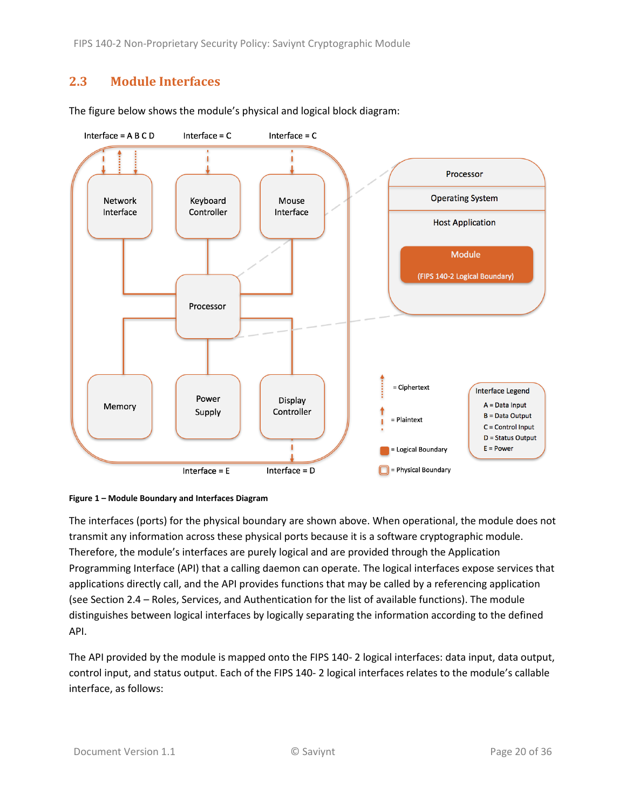FIPS 140-2 Non-Proprietary Security Policy: Saviynt Cryptographic Module

#### <span id="page-19-0"></span>**2.3 Module Interfaces**





<span id="page-19-1"></span>

The interfaces (ports) for the physical boundary are shown above. When operational, the module does not transmit any information across these physical ports because it is a software cryptographic module. Therefore, the module's interfaces are purely logical and are provided through the Application Programming Interface (API) that a calling daemon can operate. The logical interfaces expose services that applications directly call, and the API provides functions that may be called by a referencing application (see Section [2.4](#page-20-0) – [Roles, Services, and Authentication](#page-20-0) for the list of available functions). The module distinguishes between logical interfaces by logically separating the information according to the defined API.

The API provided by the module is mapped onto the FIPS 140- 2 logical interfaces: data input, data output, control input, and status output. Each of the FIPS 140- 2 logical interfaces relates to the module's callable interface, as follows: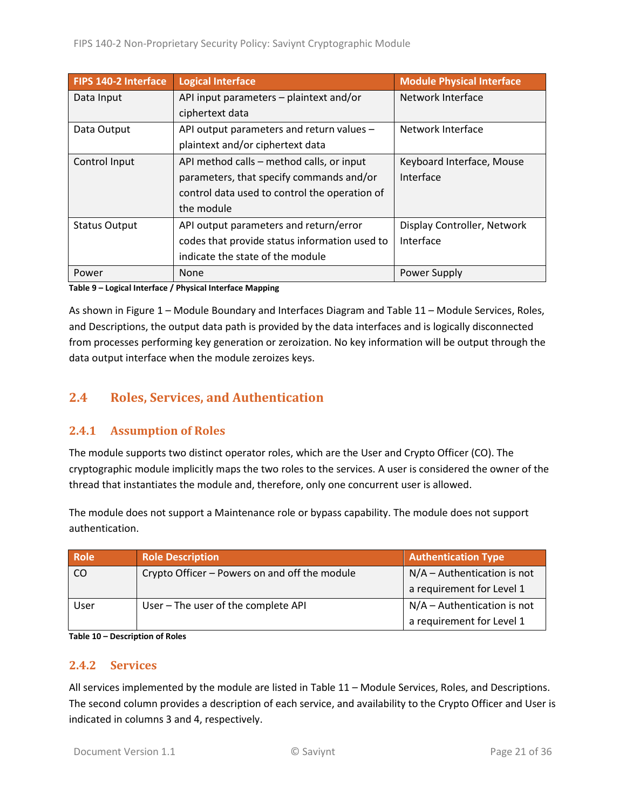| FIPS 140-2 Interface | <b>Logical Interface</b>                      | <b>Module Physical Interface</b> |
|----------------------|-----------------------------------------------|----------------------------------|
| Data Input           | API input parameters - plaintext and/or       | Network Interface                |
|                      | ciphertext data                               |                                  |
| Data Output          | API output parameters and return values -     | Network Interface                |
|                      | plaintext and/or ciphertext data              |                                  |
| Control Input        | API method calls – method calls, or input     | Keyboard Interface, Mouse        |
|                      | parameters, that specify commands and/or      | Interface                        |
|                      | control data used to control the operation of |                                  |
|                      | the module                                    |                                  |
| <b>Status Output</b> | API output parameters and return/error        | Display Controller, Network      |
|                      | codes that provide status information used to | Interface                        |
|                      | indicate the state of the module              |                                  |
| Power                | None                                          | Power Supply                     |

**Table 9 – Logical Interface / Physical Interface Mapping**

As shown in Figure 1 – [Module Boundary and Interfaces Diagram](#page-19-1) and Table 11 – [Module Services, Roles,](#page-22-0) [and Descriptions,](#page-22-0) the output data path is provided by the data interfaces and is logically disconnected from processes performing key generation or zeroization. No key information will be output through the data output interface when the module zeroizes keys.

#### <span id="page-20-0"></span>**2.4 Roles, Services, and Authentication**

#### <span id="page-20-1"></span>**2.4.1 Assumption of Roles**

The module supports two distinct operator roles, which are the User and Crypto Officer (CO). The cryptographic module implicitly maps the two roles to the services. A user is considered the owner of the thread that instantiates the module and, therefore, only one concurrent user is allowed.

The module does not support a Maintenance role or bypass capability. The module does not support authentication.

| <b>Role</b> | <b>Role Description</b>                       | <b>Authentication Type</b>    |
|-------------|-----------------------------------------------|-------------------------------|
| CO          | Crypto Officer - Powers on and off the module | $N/A -$ Authentication is not |
|             |                                               | a requirement for Level 1     |
| User        | User - The user of the complete API           | $N/A -$ Authentication is not |
|             |                                               | a requirement for Level 1     |

**Table 10 – Description of Roles**

#### <span id="page-20-2"></span>**2.4.2 Services**

All services implemented by the module are listed in Table 11 – [Module Services, Roles,](#page-22-0) and Descriptions. The second column provides a description of each service, and availability to the Crypto Officer and User is indicated in columns 3 and 4, respectively.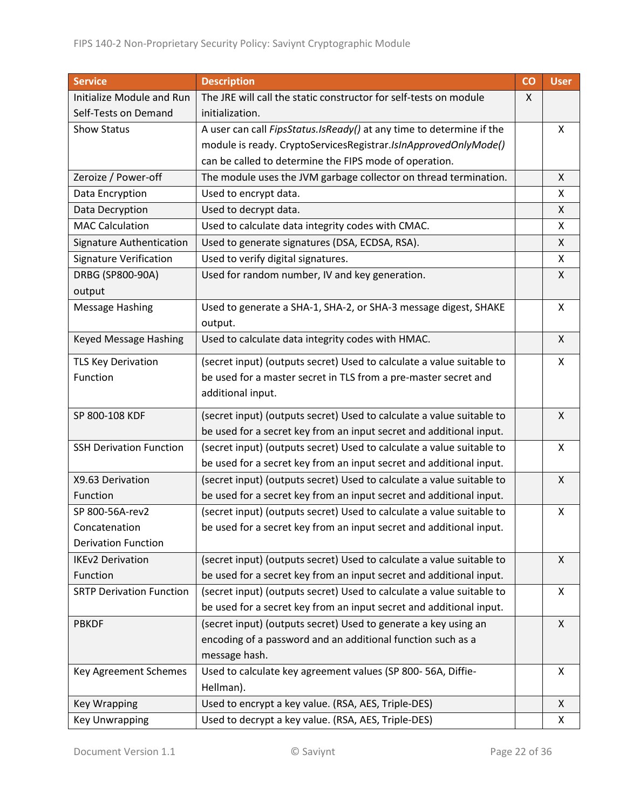| <b>Service</b>                  | <b>Description</b>                                                    |  | <b>User</b> |
|---------------------------------|-----------------------------------------------------------------------|--|-------------|
| Initialize Module and Run       | The JRE will call the static constructor for self-tests on module     |  |             |
| Self-Tests on Demand            | initialization.                                                       |  |             |
| Show Status                     | A user can call FipsStatus.IsReady() at any time to determine if the  |  | X           |
|                                 | module is ready. CryptoServicesRegistrar.IsInApprovedOnlyMode()       |  |             |
|                                 | can be called to determine the FIPS mode of operation.                |  |             |
| Zeroize / Power-off             | The module uses the JVM garbage collector on thread termination.      |  | X           |
| Data Encryption                 | Used to encrypt data.                                                 |  | X           |
| Data Decryption                 | Used to decrypt data.                                                 |  | X           |
| <b>MAC Calculation</b>          | Used to calculate data integrity codes with CMAC.                     |  | X           |
| Signature Authentication        | Used to generate signatures (DSA, ECDSA, RSA).                        |  | X           |
| <b>Signature Verification</b>   | Used to verify digital signatures.                                    |  | X           |
| DRBG (SP800-90A)                | Used for random number, IV and key generation.                        |  | X           |
| output                          |                                                                       |  |             |
| <b>Message Hashing</b>          | Used to generate a SHA-1, SHA-2, or SHA-3 message digest, SHAKE       |  | X           |
|                                 | output.                                                               |  |             |
| Keyed Message Hashing           | Used to calculate data integrity codes with HMAC.                     |  | X           |
| <b>TLS Key Derivation</b>       | (secret input) (outputs secret) Used to calculate a value suitable to |  | X           |
| Function                        | be used for a master secret in TLS from a pre-master secret and       |  |             |
|                                 | additional input.                                                     |  |             |
| SP 800-108 KDF                  | (secret input) (outputs secret) Used to calculate a value suitable to |  | X           |
|                                 | be used for a secret key from an input secret and additional input.   |  |             |
| <b>SSH Derivation Function</b>  | (secret input) (outputs secret) Used to calculate a value suitable to |  | X           |
|                                 | be used for a secret key from an input secret and additional input.   |  |             |
| X9.63 Derivation                | (secret input) (outputs secret) Used to calculate a value suitable to |  | X           |
| Function                        | be used for a secret key from an input secret and additional input.   |  |             |
| SP 800-56A-rev2                 | (secret input) (outputs secret) Used to calculate a value suitable to |  | X           |
| Concatenation                   | be used for a secret key from an input secret and additional input.   |  |             |
| <b>Derivation Function</b>      |                                                                       |  |             |
| <b>IKEv2 Derivation</b>         | (secret input) (outputs secret) Used to calculate a value suitable to |  | X           |
| Function                        | be used for a secret key from an input secret and additional input.   |  |             |
| <b>SRTP Derivation Function</b> | (secret input) (outputs secret) Used to calculate a value suitable to |  | X           |
|                                 | be used for a secret key from an input secret and additional input.   |  |             |
| <b>PBKDF</b>                    | (secret input) (outputs secret) Used to generate a key using an       |  | X           |
|                                 | encoding of a password and an additional function such as a           |  |             |
|                                 | message hash.                                                         |  |             |
| Key Agreement Schemes           | Used to calculate key agreement values (SP 800-56A, Diffie-           |  | X           |
|                                 | Hellman).                                                             |  |             |
| <b>Key Wrapping</b>             | Used to encrypt a key value. (RSA, AES, Triple-DES)                   |  | X           |
| <b>Key Unwrapping</b>           | Used to decrypt a key value. (RSA, AES, Triple-DES)                   |  | X           |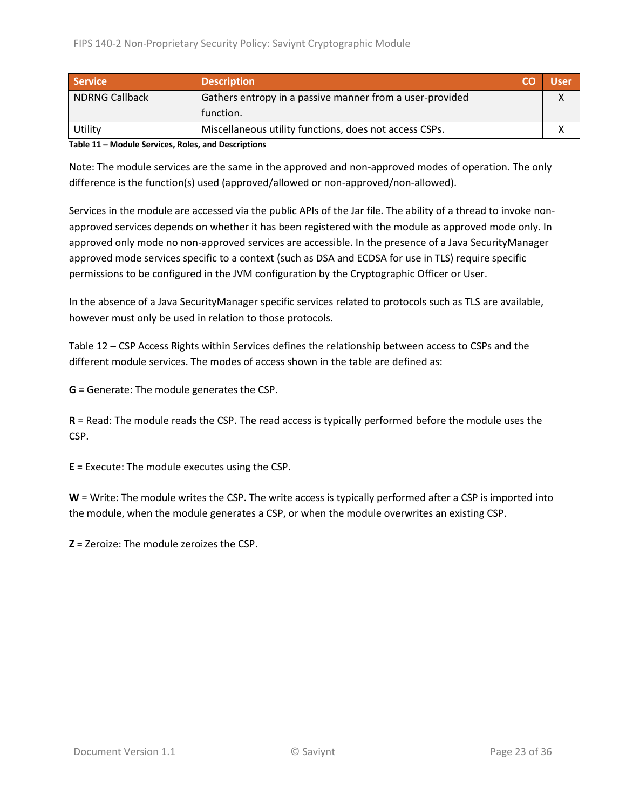| <b>Service</b>        | <b>Description</b>                                       |  | Jser |
|-----------------------|----------------------------------------------------------|--|------|
| <b>NDRNG Callback</b> | Gathers entropy in a passive manner from a user-provided |  |      |
|                       | function.                                                |  |      |
| Utility               | Miscellaneous utility functions, does not access CSPs.   |  |      |

<span id="page-22-0"></span>**Table 11 – Module Services, Roles, and Descriptions**

Note: The module services are the same in the approved and non-approved modes of operation. The only difference is the function(s) used (approved/allowed or non-approved/non-allowed).

Services in the module are accessed via the public APIs of the Jar file. The ability of a thread to invoke nonapproved services depends on whether it has been registered with the module as approved mode only. In approved only mode no non-approved services are accessible. In the presence of a Java SecurityManager approved mode services specific to a context (such as DSA and ECDSA for use in TLS) require specific permissions to be configured in the JVM configuration by the Cryptographic Officer or User.

In the absence of a Java SecurityManager specific services related to protocols such as TLS are available, however must only be used in relation to those protocols.

Table 12 – [CSP Access Rights within Services](#page-24-2) defines the relationship between access to CSPs and the different module services. The modes of access shown in the table are defined as:

**G** = Generate: The module generates the CSP.

**R** = Read: The module reads the CSP. The read access is typically performed before the module uses the CSP.

**E** = Execute: The module executes using the CSP.

**W** = Write: The module writes the CSP. The write access is typically performed after a CSP is imported into the module, when the module generates a CSP, or when the module overwrites an existing CSP.

**Z** = Zeroize: The module zeroizes the CSP.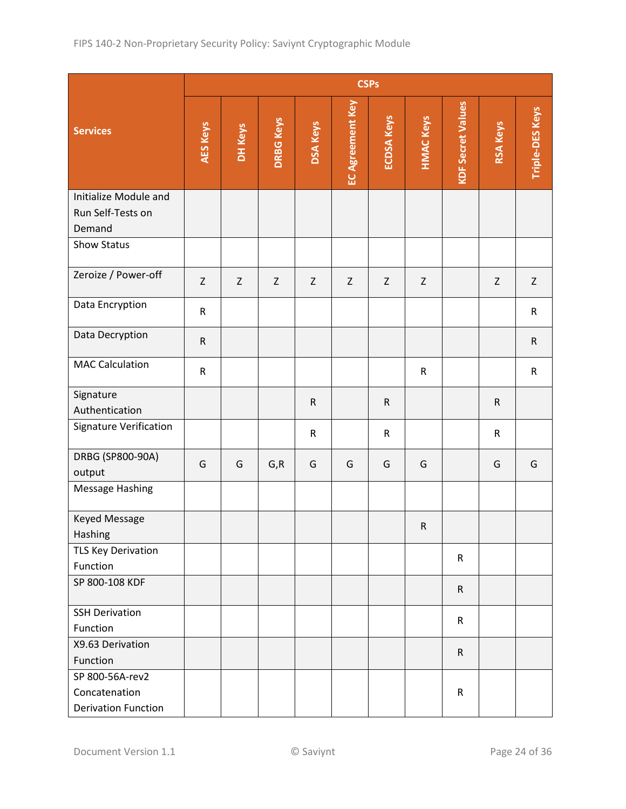|                                                      |                 |             |                  |                 |                         | <b>CSPs</b>       |                  |                          |                 |                        |
|------------------------------------------------------|-----------------|-------------|------------------|-----------------|-------------------------|-------------------|------------------|--------------------------|-----------------|------------------------|
| <b>Services</b>                                      | <b>AES Keys</b> | DH Keys     | <b>DRBG Keys</b> | <b>DSA Keys</b> | <b>EC Agreement Key</b> | <b>ECDSA Keys</b> | <b>HMAC Keys</b> | <b>KDF Secret Values</b> | <b>RSA Keys</b> | <b>Triple-DES Keys</b> |
| Initialize Module and<br>Run Self-Tests on<br>Demand |                 |             |                  |                 |                         |                   |                  |                          |                 |                        |
| Show Status                                          |                 |             |                  |                 |                         |                   |                  |                          |                 |                        |
| Zeroize / Power-off                                  | $\mathsf Z$     | $\mathsf Z$ | Z                | $\mathsf Z$     | Z                       | Z                 | Z                |                          | Z               | $\mathsf Z$            |
| Data Encryption                                      | $\mathsf{R}$    |             |                  |                 |                         |                   |                  |                          |                 | $\mathsf{R}$           |
| Data Decryption                                      | ${\sf R}$       |             |                  |                 |                         |                   |                  |                          |                 | ${\sf R}$              |
| <b>MAC Calculation</b>                               | $\mathsf{R}$    |             |                  |                 |                         |                   | ${\sf R}$        |                          |                 | $\mathsf{R}$           |
| Signature<br>Authentication                          |                 |             |                  | ${\sf R}$       |                         | ${\sf R}$         |                  |                          | $\mathsf R$     |                        |
| <b>Signature Verification</b>                        |                 |             |                  | ${\sf R}$       |                         | $\mathsf R$       |                  |                          | $\mathsf{R}$    |                        |
| DRBG (SP800-90A)<br>output                           | G               | G           | G, R             | G               | G                       | G                 | G                |                          | G               | G                      |
| <b>Message Hashing</b>                               |                 |             |                  |                 |                         |                   |                  |                          |                 |                        |
| Keyed Message<br>Hashing                             |                 |             |                  |                 |                         |                   | ${\sf R}$        |                          |                 |                        |
| <b>TLS Key Derivation</b><br>Function                |                 |             |                  |                 |                         |                   |                  | $\mathsf{R}$             |                 |                        |
| SP 800-108 KDF                                       |                 |             |                  |                 |                         |                   |                  | $\mathsf{R}$             |                 |                        |
| <b>SSH Derivation</b><br>Function                    |                 |             |                  |                 |                         |                   |                  | $\mathsf{R}$             |                 |                        |
| X9.63 Derivation<br>Function                         |                 |             |                  |                 |                         |                   |                  | $\mathsf{R}$             |                 |                        |
| SP 800-56A-rev2                                      |                 |             |                  |                 |                         |                   |                  |                          |                 |                        |
| Concatenation<br><b>Derivation Function</b>          |                 |             |                  |                 |                         |                   |                  | $\mathsf R$              |                 |                        |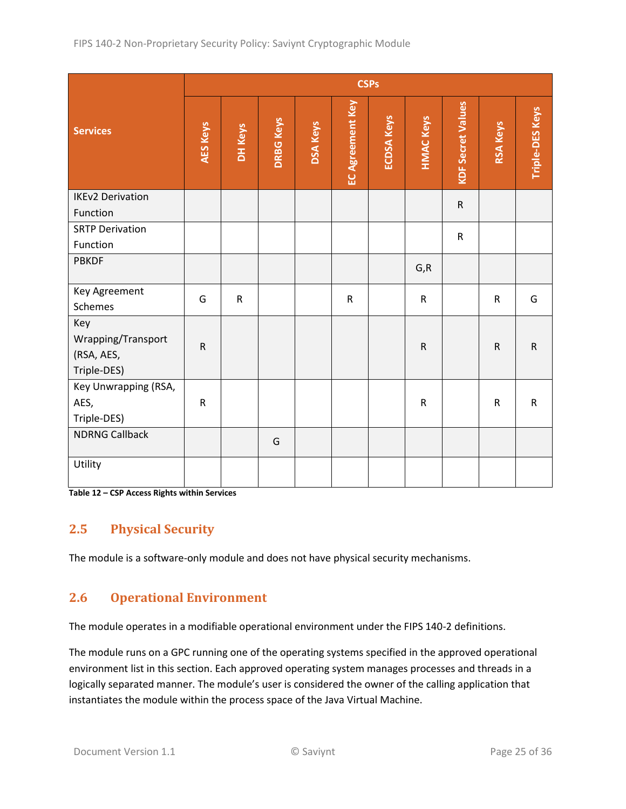|                                                        | <b>CSPs</b>     |              |                  |                 |                  |                   |                  |                          |                 |                        |
|--------------------------------------------------------|-----------------|--------------|------------------|-----------------|------------------|-------------------|------------------|--------------------------|-----------------|------------------------|
| <b>Services</b>                                        | <b>AES Keys</b> | DH Keys      | <b>DRBG Keys</b> | <b>DSA Keys</b> | EC Agreement Key | <b>ECDSA Keys</b> | <b>HMAC Keys</b> | <b>KDF Secret Values</b> | <b>RSA Keys</b> | <b>Triple-DES Keys</b> |
| <b>IKEv2 Derivation</b>                                |                 |              |                  |                 |                  |                   |                  | ${\sf R}$                |                 |                        |
| Function                                               |                 |              |                  |                 |                  |                   |                  |                          |                 |                        |
| <b>SRTP Derivation</b><br>Function                     |                 |              |                  |                 |                  |                   |                  | ${\sf R}$                |                 |                        |
| <b>PBKDF</b>                                           |                 |              |                  |                 |                  |                   | G, R             |                          |                 |                        |
| Key Agreement<br>Schemes                               | G               | $\mathsf{R}$ |                  |                 | $\mathsf{R}$     |                   | ${\sf R}$        |                          | $\mathsf{R}$    | G                      |
| Key<br>Wrapping/Transport<br>(RSA, AES,<br>Triple-DES) | $\mathsf{R}$    |              |                  |                 |                  |                   | ${\sf R}$        |                          | ${\sf R}$       | ${\sf R}$              |
| Key Unwrapping (RSA,<br>AES,<br>Triple-DES)            | ${\sf R}$       |              |                  |                 |                  |                   | $\mathsf R$      |                          | ${\sf R}$       | ${\sf R}$              |
| <b>NDRNG Callback</b>                                  |                 |              | G                |                 |                  |                   |                  |                          |                 |                        |
| Utility                                                |                 |              |                  |                 |                  |                   |                  |                          |                 |                        |

<span id="page-24-2"></span>**Table 12 – CSP Access Rights within Services**

### <span id="page-24-0"></span>**2.5 Physical Security**

The module is a software-only module and does not have physical security mechanisms.

#### <span id="page-24-1"></span>**2.6 Operational Environment**

The module operates in a modifiable operational environment under the FIPS 140-2 definitions.

The module runs on a GPC running one of the operating systems specified in the approved operational environment list in this section. Each approved operating system manages processes and threads in a logically separated manner. The module's user is considered the owner of the calling application that instantiates the module within the process space of the Java Virtual Machine.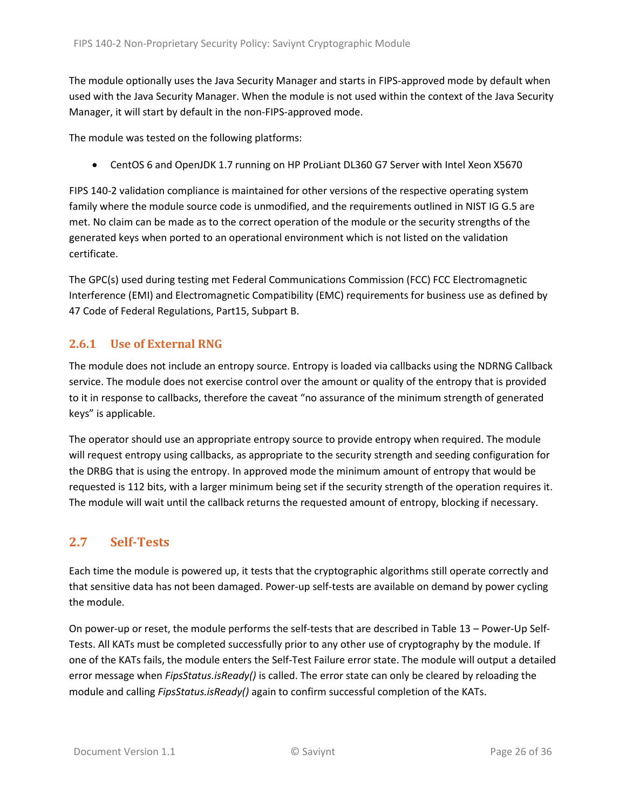The module optionally uses the Java Security Manager and starts in FIPS-approved mode by default when used with the Java Security Manager. When the module is not used within the context of the Java Security Manager, it will start by default in the non-FIPS-approved mode.

The module was tested on the following platforms:

• CentOS 6 and OpenJDK 1.7 running on HP ProLiant DL360 G7 Server with Intel Xeon X5670

FIPS 140-2 validation compliance is maintained for other versions of the respective operating system family where the module source code is unmodified, and the requirements outlined in NIST IG G.5 are met. No claim can be made as to the correct operation of the module or the security strengths of the generated keys when ported to an operational environment which is not listed on the validation certificate.

The GPC(s) used during testing met Federal Communications Commission (FCC) FCC Electromagnetic Interference (EMI) and Electromagnetic Compatibility (EMC) requirements for business use as defined by 47 Code of Federal Regulations, Part15, Subpart B.

#### <span id="page-25-0"></span>**2.6.1 Use of External RNG**

The module does not include an entropy source. Entropy is loaded via callbacks using the NDRNG Callback service. The module does not exercise control over the amount or quality of the entropy that is provided to it in response to callbacks, therefore the caveat "no assurance of the minimum strength of generated keys" is applicable.

The operator should use an appropriate entropy source to provide entropy when required. The module will request entropy using callbacks, as appropriate to the security strength and seeding configuration for the DRBG that is using the entropy. In approved mode the minimum amount of entropy that would be requested is 112 bits, with a larger minimum being set if the security strength of the operation requires it. The module will wait until the callback returns the requested amount of entropy, blocking if necessary.

### <span id="page-25-1"></span>**2.7 Self-Tests**

Each time the module is powered up, it tests that the cryptographic algorithms still operate correctly and that sensitive data has not been damaged. Power-up self-tests are available on demand by power cycling the module.

On power-up or reset, the module performs the self-tests that are described in Table 13 – [Power-Up](#page-27-2) Self-[Tests.](#page-27-2) All KATs must be completed successfully prior to any other use of cryptography by the module. If one of the KATs fails, the module enters the Self-Test Failure error state. The module will output a detailed error message when *FipsStatus.isReady()* is called. The error state can only be cleared by reloading the module and calling *FipsStatus.isReady()* again to confirm successful completion of the KATs.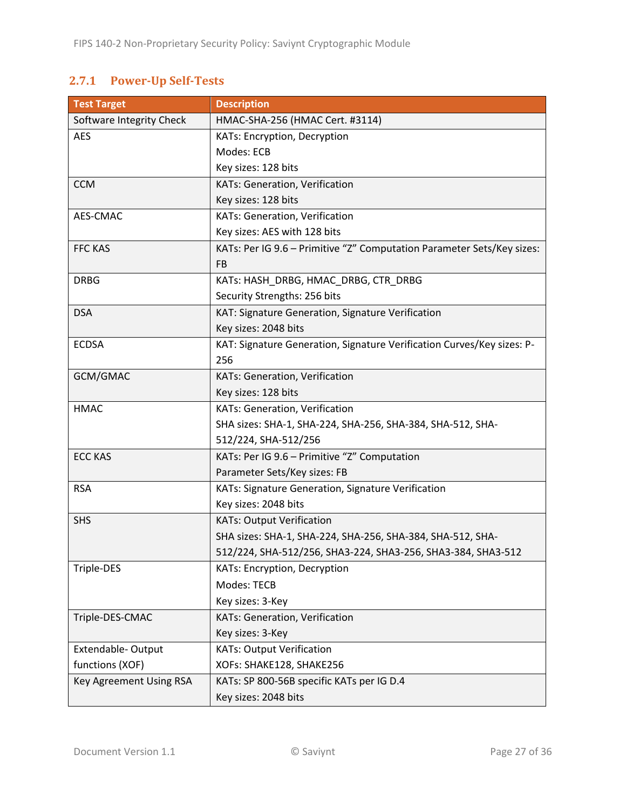## <span id="page-26-0"></span>**2.7.1 Power-Up Self-Tests**

| <b>Test Target</b>       | <b>Description</b>                                                     |
|--------------------------|------------------------------------------------------------------------|
| Software Integrity Check | HMAC-SHA-256 (HMAC Cert. #3114)                                        |
| <b>AES</b>               | KATs: Encryption, Decryption                                           |
|                          | Modes: ECB                                                             |
|                          | Key sizes: 128 bits                                                    |
| <b>CCM</b>               | KATs: Generation, Verification                                         |
|                          | Key sizes: 128 bits                                                    |
| AES-CMAC                 | KATs: Generation, Verification                                         |
|                          | Key sizes: AES with 128 bits                                           |
| <b>FFC KAS</b>           | KATs: Per IG 9.6 - Primitive "Z" Computation Parameter Sets/Key sizes: |
|                          | FB                                                                     |
| <b>DRBG</b>              | KATs: HASH_DRBG, HMAC_DRBG, CTR_DRBG                                   |
|                          | Security Strengths: 256 bits                                           |
| <b>DSA</b>               | KAT: Signature Generation, Signature Verification                      |
|                          | Key sizes: 2048 bits                                                   |
| <b>ECDSA</b>             | KAT: Signature Generation, Signature Verification Curves/Key sizes: P- |
|                          | 256                                                                    |
| GCM/GMAC                 | KATs: Generation, Verification                                         |
|                          | Key sizes: 128 bits                                                    |
| <b>HMAC</b>              | KATs: Generation, Verification                                         |
|                          | SHA sizes: SHA-1, SHA-224, SHA-256, SHA-384, SHA-512, SHA-             |
|                          | 512/224, SHA-512/256                                                   |
| <b>ECC KAS</b>           | KATs: Per IG 9.6 - Primitive "Z" Computation                           |
|                          | Parameter Sets/Key sizes: FB                                           |
| <b>RSA</b>               | KATs: Signature Generation, Signature Verification                     |
|                          | Key sizes: 2048 bits                                                   |
| <b>SHS</b>               | <b>KATs: Output Verification</b>                                       |
|                          | SHA sizes: SHA-1, SHA-224, SHA-256, SHA-384, SHA-512, SHA-             |
|                          | 512/224, SHA-512/256, SHA3-224, SHA3-256, SHA3-384, SHA3-512           |
| Triple-DES               | KATs: Encryption, Decryption                                           |
|                          | Modes: TECB                                                            |
|                          | Key sizes: 3-Key                                                       |
| Triple-DES-CMAC          | KATs: Generation, Verification                                         |
|                          | Key sizes: 3-Key                                                       |
| Extendable-Output        | <b>KATs: Output Verification</b>                                       |
| functions (XOF)          | XOFs: SHAKE128, SHAKE256                                               |
| Key Agreement Using RSA  | KATs: SP 800-56B specific KATs per IG D.4                              |
|                          | Key sizes: 2048 bits                                                   |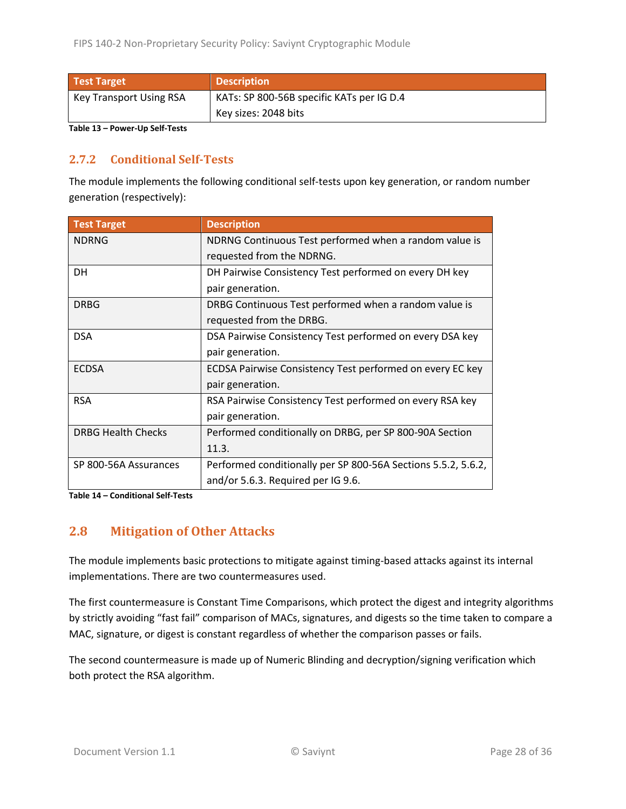| Test Target             | <b>Description</b>                        |  |  |
|-------------------------|-------------------------------------------|--|--|
| Key Transport Using RSA | KATs: SP 800-56B specific KATs per IG D.4 |  |  |
|                         | Key sizes: 2048 bits                      |  |  |

<span id="page-27-2"></span>**Table 13 – Power-Up Self-Tests**

#### <span id="page-27-0"></span>**2.7.2 Conditional Self-Tests**

The module implements the following conditional self-tests upon key generation, or random number generation (respectively):

| <b>Test Target</b>        | <b>Description</b>                                            |
|---------------------------|---------------------------------------------------------------|
| <b>NDRNG</b>              | NDRNG Continuous Test performed when a random value is        |
|                           | requested from the NDRNG.                                     |
| <b>DH</b>                 | DH Pairwise Consistency Test performed on every DH key        |
|                           | pair generation.                                              |
| <b>DRBG</b>               | DRBG Continuous Test performed when a random value is         |
|                           | requested from the DRBG.                                      |
| <b>DSA</b>                | DSA Pairwise Consistency Test performed on every DSA key      |
|                           | pair generation.                                              |
| <b>ECDSA</b>              | ECDSA Pairwise Consistency Test performed on every EC key     |
|                           | pair generation.                                              |
| <b>RSA</b>                | RSA Pairwise Consistency Test performed on every RSA key      |
|                           | pair generation.                                              |
| <b>DRBG Health Checks</b> | Performed conditionally on DRBG, per SP 800-90A Section       |
|                           | 11.3.                                                         |
| SP 800-56A Assurances     | Performed conditionally per SP 800-56A Sections 5.5.2, 5.6.2, |
|                           | and/or 5.6.3. Required per IG 9.6.                            |

**Table 14 – Conditional Self-Tests**

#### <span id="page-27-1"></span>**2.8 Mitigation of Other Attacks**

The module implements basic protections to mitigate against timing-based attacks against its internal implementations. There are two countermeasures used.

The first countermeasure is Constant Time Comparisons, which protect the digest and integrity algorithms by strictly avoiding "fast fail" comparison of MACs, signatures, and digests so the time taken to compare a MAC, signature, or digest is constant regardless of whether the comparison passes or fails.

The second countermeasure is made up of Numeric Blinding and decryption/signing verification which both protect the RSA algorithm.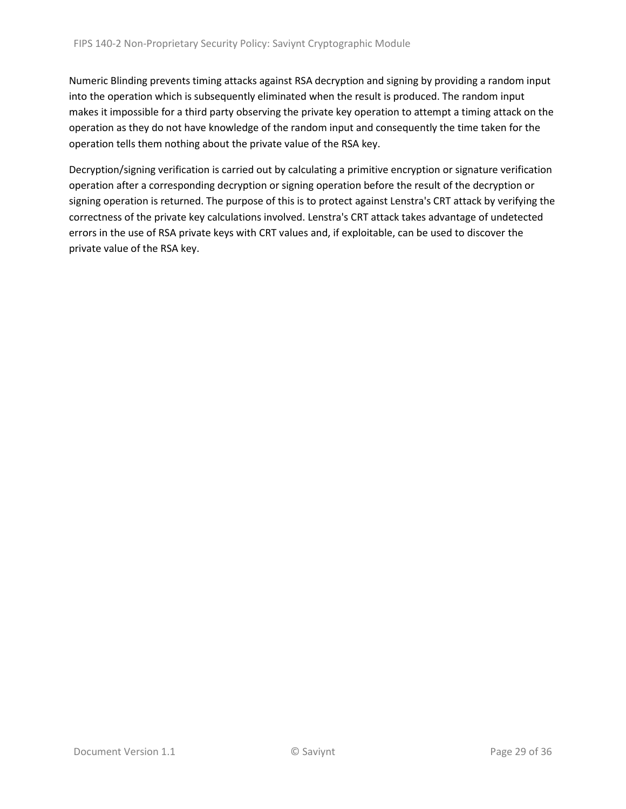Numeric Blinding prevents timing attacks against RSA decryption and signing by providing a random input into the operation which is subsequently eliminated when the result is produced. The random input makes it impossible for a third party observing the private key operation to attempt a timing attack on the operation as they do not have knowledge of the random input and consequently the time taken for the operation tells them nothing about the private value of the RSA key.

Decryption/signing verification is carried out by calculating a primitive encryption or signature verification operation after a corresponding decryption or signing operation before the result of the decryption or signing operation is returned. The purpose of this is to protect against Lenstra's CRT attack by verifying the correctness of the private key calculations involved. Lenstra's CRT attack takes advantage of undetected errors in the use of RSA private keys with CRT values and, if exploitable, can be used to discover the private value of the RSA key.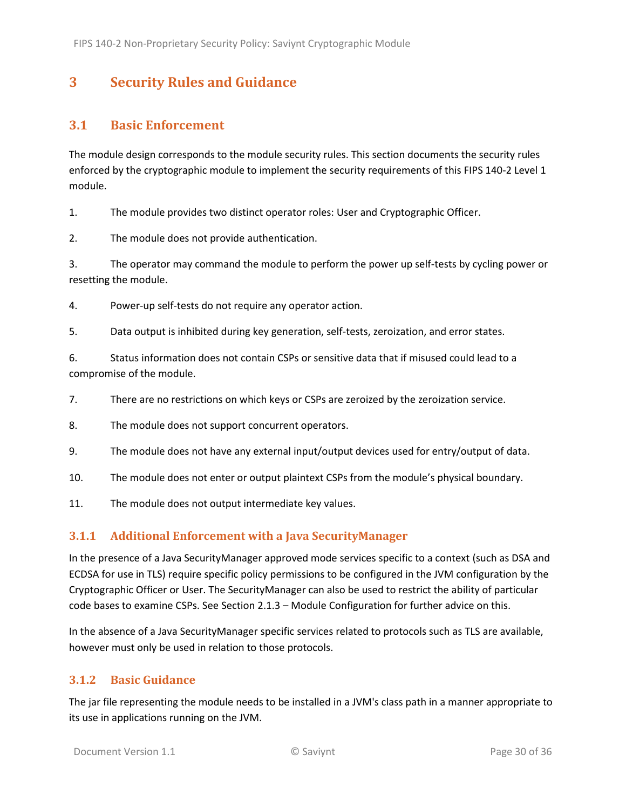## <span id="page-29-0"></span>**3 Security Rules and Guidance**

#### <span id="page-29-1"></span>**3.1 Basic Enforcement**

The module design corresponds to the module security rules. This section documents the security rules enforced by the cryptographic module to implement the security requirements of this FIPS 140-2 Level 1 module.

1. The module provides two distinct operator roles: User and Cryptographic Officer.

2. The module does not provide authentication.

3. The operator may command the module to perform the power up self-tests by cycling power or resetting the module.

4. Power-up self-tests do not require any operator action.

5. Data output is inhibited during key generation, self-tests, zeroization, and error states.

6. Status information does not contain CSPs or sensitive data that if misused could lead to a compromise of the module.

7. There are no restrictions on which keys or CSPs are zeroized by the zeroization service.

- 8. The module does not support concurrent operators.
- 9. The module does not have any external input/output devices used for entry/output of data.
- 10. The module does not enter or output plaintext CSPs from the module's physical boundary.
- 11. The module does not output intermediate key values.

#### <span id="page-29-2"></span>**3.1.1 Additional Enforcement with a Java SecurityManager**

In the presence of a Java SecurityManager approved mode services specific to a context (such as DSA and ECDSA for use in TLS) require specific policy permissions to be configured in the JVM configuration by the Cryptographic Officer or User. The SecurityManager can also be used to restrict the ability of particular code bases to examine CSPs. See Section [2.1.3](#page-6-0) – Module Configuration for further advice on this.

In the absence of a Java SecurityManager specific services related to protocols such as TLS are available, however must only be used in relation to those protocols.

#### <span id="page-29-3"></span>**3.1.2 Basic Guidance**

The jar file representing the module needs to be installed in a JVM's class path in a manner appropriate to its use in applications running on the JVM.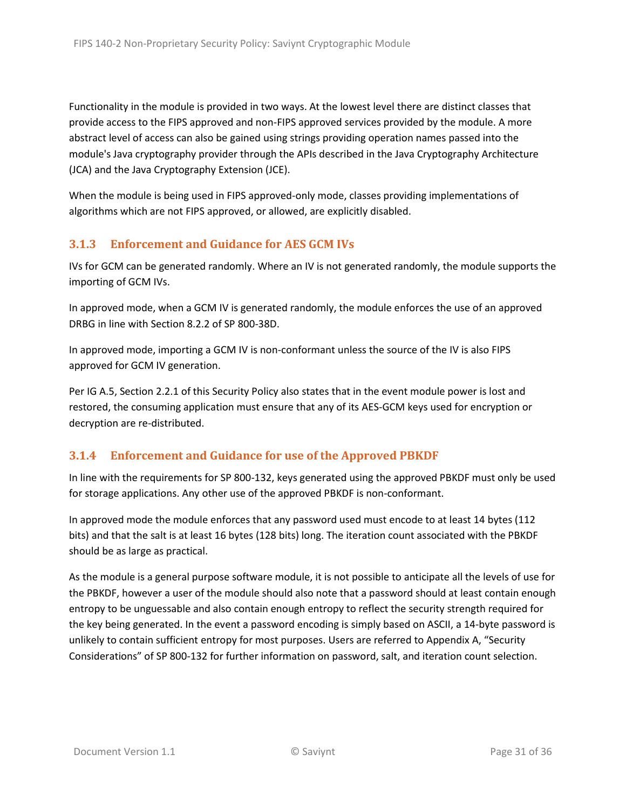Functionality in the module is provided in two ways. At the lowest level there are distinct classes that provide access to the FIPS approved and non-FIPS approved services provided by the module. A more abstract level of access can also be gained using strings providing operation names passed into the module's Java cryptography provider through the APIs described in the Java Cryptography Architecture (JCA) and the Java Cryptography Extension (JCE).

When the module is being used in FIPS approved-only mode, classes providing implementations of algorithms which are not FIPS approved, or allowed, are explicitly disabled.

#### <span id="page-30-0"></span>**3.1.3 Enforcement and Guidance for AES GCM IVs**

IVs for GCM can be generated randomly. Where an IV is not generated randomly, the module supports the importing of GCM IVs.

In approved mode, when a GCM IV is generated randomly, the module enforces the use of an approved DRBG in line with Section 8.2.2 of SP 800-38D.

In approved mode, importing a GCM IV is non-conformant unless the source of the IV is also FIPS approved for GCM IV generation.

Per IG A.5, Sectio[n 2.2.1](#page-16-1) of this Security Policy also states that in the event module power is lost and restored, the consuming application must ensure that any of its AES-GCM keys used for encryption or decryption are re-distributed.

#### <span id="page-30-1"></span>**3.1.4 Enforcement and Guidance for use of the Approved PBKDF**

In line with the requirements for SP 800-132, keys generated using the approved PBKDF must only be used for storage applications. Any other use of the approved PBKDF is non-conformant.

In approved mode the module enforces that any password used must encode to at least 14 bytes (112 bits) and that the salt is at least 16 bytes (128 bits) long. The iteration count associated with the PBKDF should be as large as practical.

As the module is a general purpose software module, it is not possible to anticipate all the levels of use for the PBKDF, however a user of the module should also note that a password should at least contain enough entropy to be unguessable and also contain enough entropy to reflect the security strength required for the key being generated. In the event a password encoding is simply based on ASCII, a 14-byte password is unlikely to contain sufficient entropy for most purposes. Users are referred to Appendix A, "Security Considerations" of SP 800-132 for further information on password, salt, and iteration count selection.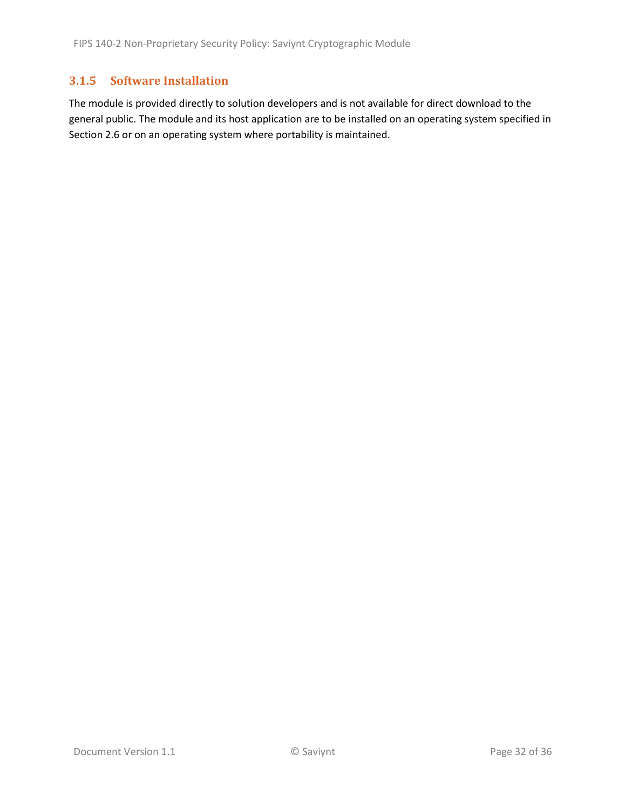#### <span id="page-31-0"></span>**3.1.5 Software Installation**

The module is provided directly to solution developers and is not available for direct download to the general public. The module and its host application are to be installed on an operating system specified in Section [2.6](#page-24-1) or on an operating system where portability is maintained.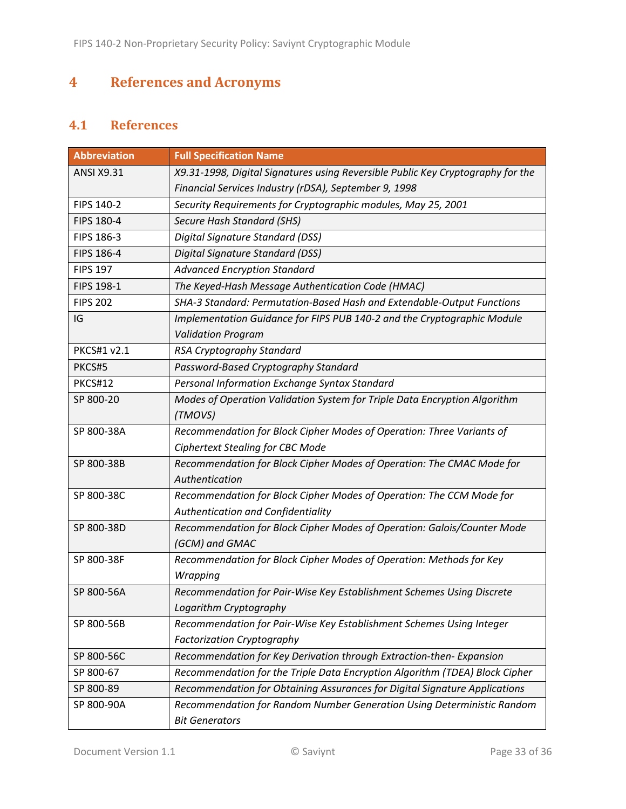# <span id="page-32-0"></span>**4 References and Acronyms**

## <span id="page-32-1"></span>**4.1 References**

| <b>Abbreviation</b> | <b>Full Specification Name</b>                                                  |
|---------------------|---------------------------------------------------------------------------------|
| <b>ANSI X9.31</b>   | X9.31-1998, Digital Signatures using Reversible Public Key Cryptography for the |
|                     | Financial Services Industry (rDSA), September 9, 1998                           |
| FIPS 140-2          | Security Requirements for Cryptographic modules, May 25, 2001                   |
| FIPS 180-4          | Secure Hash Standard (SHS)                                                      |
| FIPS 186-3          | Digital Signature Standard (DSS)                                                |
| FIPS 186-4          | Digital Signature Standard (DSS)                                                |
| <b>FIPS 197</b>     | <b>Advanced Encryption Standard</b>                                             |
| FIPS 198-1          | The Keyed-Hash Message Authentication Code (HMAC)                               |
| <b>FIPS 202</b>     | SHA-3 Standard: Permutation-Based Hash and Extendable-Output Functions          |
| IG                  | Implementation Guidance for FIPS PUB 140-2 and the Cryptographic Module         |
|                     | <b>Validation Program</b>                                                       |
| <b>PKCS#1 v2.1</b>  | RSA Cryptography Standard                                                       |
| PKCS#5              | Password-Based Cryptography Standard                                            |
| <b>PKCS#12</b>      | Personal Information Exchange Syntax Standard                                   |
| SP 800-20           | Modes of Operation Validation System for Triple Data Encryption Algorithm       |
|                     | (TMOVS)                                                                         |
| SP 800-38A          | Recommendation for Block Cipher Modes of Operation: Three Variants of           |
|                     | <b>Ciphertext Stealing for CBC Mode</b>                                         |
| SP 800-38B          | Recommendation for Block Cipher Modes of Operation: The CMAC Mode for           |
|                     | Authentication                                                                  |
| SP 800-38C          | Recommendation for Block Cipher Modes of Operation: The CCM Mode for            |
|                     | Authentication and Confidentiality                                              |
| SP 800-38D          | Recommendation for Block Cipher Modes of Operation: Galois/Counter Mode         |
|                     | (GCM) and GMAC                                                                  |
| SP 800-38F          | Recommendation for Block Cipher Modes of Operation: Methods for Key             |
|                     | Wrapping                                                                        |
| SP 800-56A          | Recommendation for Pair-Wise Key Establishment Schemes Using Discrete           |
|                     | Logarithm Cryptography                                                          |
| SP 800-56B          | Recommendation for Pair-Wise Key Establishment Schemes Using Integer            |
|                     | <b>Factorization Cryptography</b>                                               |
| SP 800-56C          | Recommendation for Key Derivation through Extraction-then- Expansion            |
| SP 800-67           | Recommendation for the Triple Data Encryption Algorithm (TDEA) Block Cipher     |
| SP 800-89           | Recommendation for Obtaining Assurances for Digital Signature Applications      |
| SP 800-90A          | Recommendation for Random Number Generation Using Deterministic Random          |
|                     | <b>Bit Generators</b>                                                           |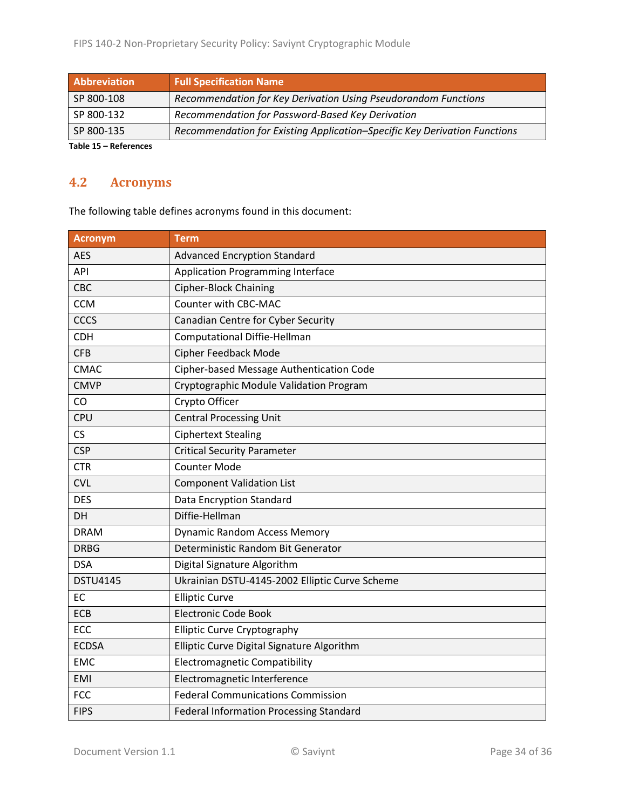| Abbreviation        | <b>Full Specification Name</b>                                            |
|---------------------|---------------------------------------------------------------------------|
| SP 800-108          | Recommendation for Key Derivation Using Pseudorandom Functions            |
| SP 800-132          | Recommendation for Password-Based Key Derivation                          |
| SP 800-135          | Recommendation for Existing Application-Specific Key Derivation Functions |
| Table 45 Bafanensee |                                                                           |

**Table 15 – References**

## <span id="page-33-0"></span>**4.2 Acronyms**

The following table defines acronyms found in this document:

| <b>Acronym</b>  | <b>Term</b>                                    |
|-----------------|------------------------------------------------|
| <b>AES</b>      | <b>Advanced Encryption Standard</b>            |
| API             | <b>Application Programming Interface</b>       |
| CBC             | <b>Cipher-Block Chaining</b>                   |
| <b>CCM</b>      | Counter with CBC-MAC                           |
| <b>CCCS</b>     | Canadian Centre for Cyber Security             |
| <b>CDH</b>      | <b>Computational Diffie-Hellman</b>            |
| <b>CFB</b>      | <b>Cipher Feedback Mode</b>                    |
| <b>CMAC</b>     | Cipher-based Message Authentication Code       |
| <b>CMVP</b>     | Cryptographic Module Validation Program        |
| CO              | Crypto Officer                                 |
| CPU             | <b>Central Processing Unit</b>                 |
| CS              | <b>Ciphertext Stealing</b>                     |
| <b>CSP</b>      | <b>Critical Security Parameter</b>             |
| <b>CTR</b>      | <b>Counter Mode</b>                            |
| <b>CVL</b>      | <b>Component Validation List</b>               |
| <b>DES</b>      | <b>Data Encryption Standard</b>                |
| DH              | Diffie-Hellman                                 |
| <b>DRAM</b>     | <b>Dynamic Random Access Memory</b>            |
| <b>DRBG</b>     | Deterministic Random Bit Generator             |
| <b>DSA</b>      | Digital Signature Algorithm                    |
| <b>DSTU4145</b> | Ukrainian DSTU-4145-2002 Elliptic Curve Scheme |
| EC              | <b>Elliptic Curve</b>                          |
| <b>ECB</b>      | Electronic Code Book                           |
| ECC             | <b>Elliptic Curve Cryptography</b>             |
| <b>ECDSA</b>    | Elliptic Curve Digital Signature Algorithm     |
| <b>EMC</b>      | <b>Electromagnetic Compatibility</b>           |
| <b>EMI</b>      | Electromagnetic Interference                   |
| <b>FCC</b>      | <b>Federal Communications Commission</b>       |
| <b>FIPS</b>     | <b>Federal Information Processing Standard</b> |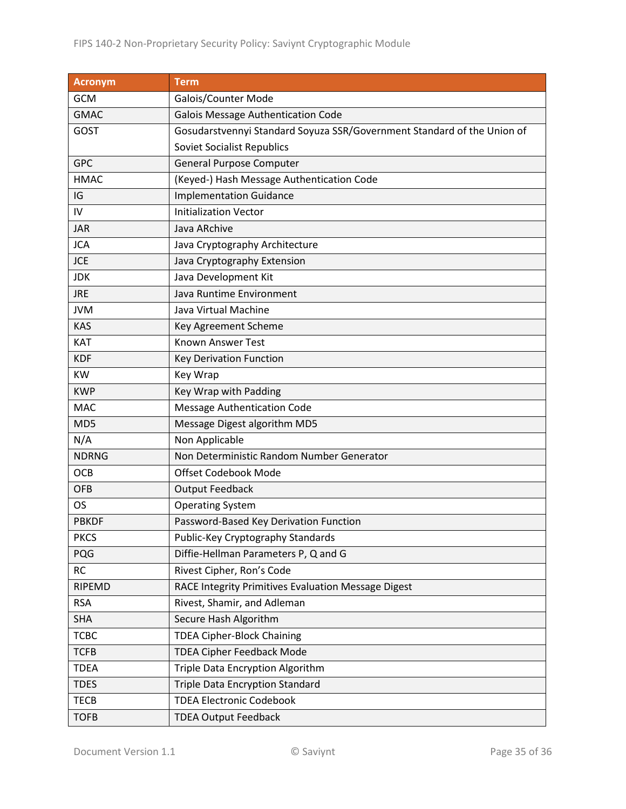| Acronym         | <b>Term</b>                                                             |
|-----------------|-------------------------------------------------------------------------|
| <b>GCM</b>      | Galois/Counter Mode                                                     |
| <b>GMAC</b>     | Galois Message Authentication Code                                      |
| <b>GOST</b>     | Gosudarstvennyi Standard Soyuza SSR/Government Standard of the Union of |
|                 | <b>Soviet Socialist Republics</b>                                       |
| <b>GPC</b>      | <b>General Purpose Computer</b>                                         |
| <b>HMAC</b>     | (Keyed-) Hash Message Authentication Code                               |
| IG              | <b>Implementation Guidance</b>                                          |
| IV              | <b>Initialization Vector</b>                                            |
| <b>JAR</b>      | Java ARchive                                                            |
| <b>JCA</b>      | Java Cryptography Architecture                                          |
| <b>JCE</b>      | Java Cryptography Extension                                             |
| <b>JDK</b>      | Java Development Kit                                                    |
| <b>JRE</b>      | Java Runtime Environment                                                |
| <b>JVM</b>      | Java Virtual Machine                                                    |
| <b>KAS</b>      | Key Agreement Scheme                                                    |
| KAT             | Known Answer Test                                                       |
| <b>KDF</b>      | Key Derivation Function                                                 |
| KW              | Key Wrap                                                                |
| <b>KWP</b>      | Key Wrap with Padding                                                   |
| <b>MAC</b>      | <b>Message Authentication Code</b>                                      |
| MD <sub>5</sub> | Message Digest algorithm MD5                                            |
| N/A             | Non Applicable                                                          |
| <b>NDRNG</b>    | Non Deterministic Random Number Generator                               |
| <b>OCB</b>      | Offset Codebook Mode                                                    |
| <b>OFB</b>      | <b>Output Feedback</b>                                                  |
| <b>OS</b>       | <b>Operating System</b>                                                 |
| <b>PBKDF</b>    | Password-Based Key Derivation Function                                  |
| <b>PKCS</b>     | Public-Key Cryptography Standards                                       |
| PQG             | Diffie-Hellman Parameters P, Q and G                                    |
| <b>RC</b>       | Rivest Cipher, Ron's Code                                               |
| RIPEMD          | RACE Integrity Primitives Evaluation Message Digest                     |
| <b>RSA</b>      | Rivest, Shamir, and Adleman                                             |
| <b>SHA</b>      | Secure Hash Algorithm                                                   |
| <b>TCBC</b>     | <b>TDEA Cipher-Block Chaining</b>                                       |
| <b>TCFB</b>     | <b>TDEA Cipher Feedback Mode</b>                                        |
| <b>TDEA</b>     | Triple Data Encryption Algorithm                                        |
| <b>TDES</b>     | <b>Triple Data Encryption Standard</b>                                  |
| <b>TECB</b>     | <b>TDEA Electronic Codebook</b>                                         |
| <b>TOFB</b>     | <b>TDEA Output Feedback</b>                                             |